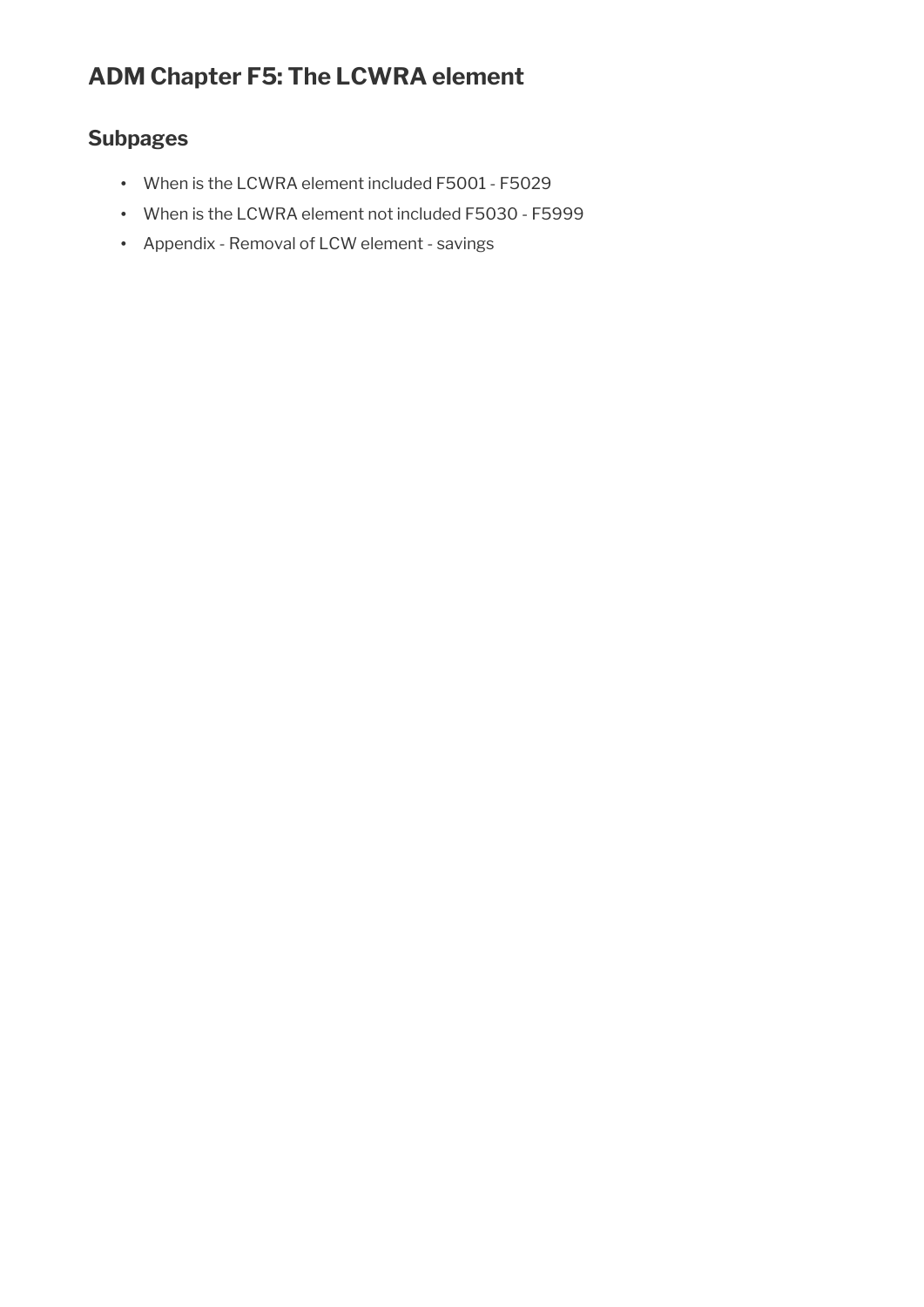# **ADM Chapter F5: The LCWRA element**

# **Subpages**

- When is the LCWRA element included F5001 F5029
- When is the LCWRA element not included F5030 F5999
- Appendix Removal of LCW element savings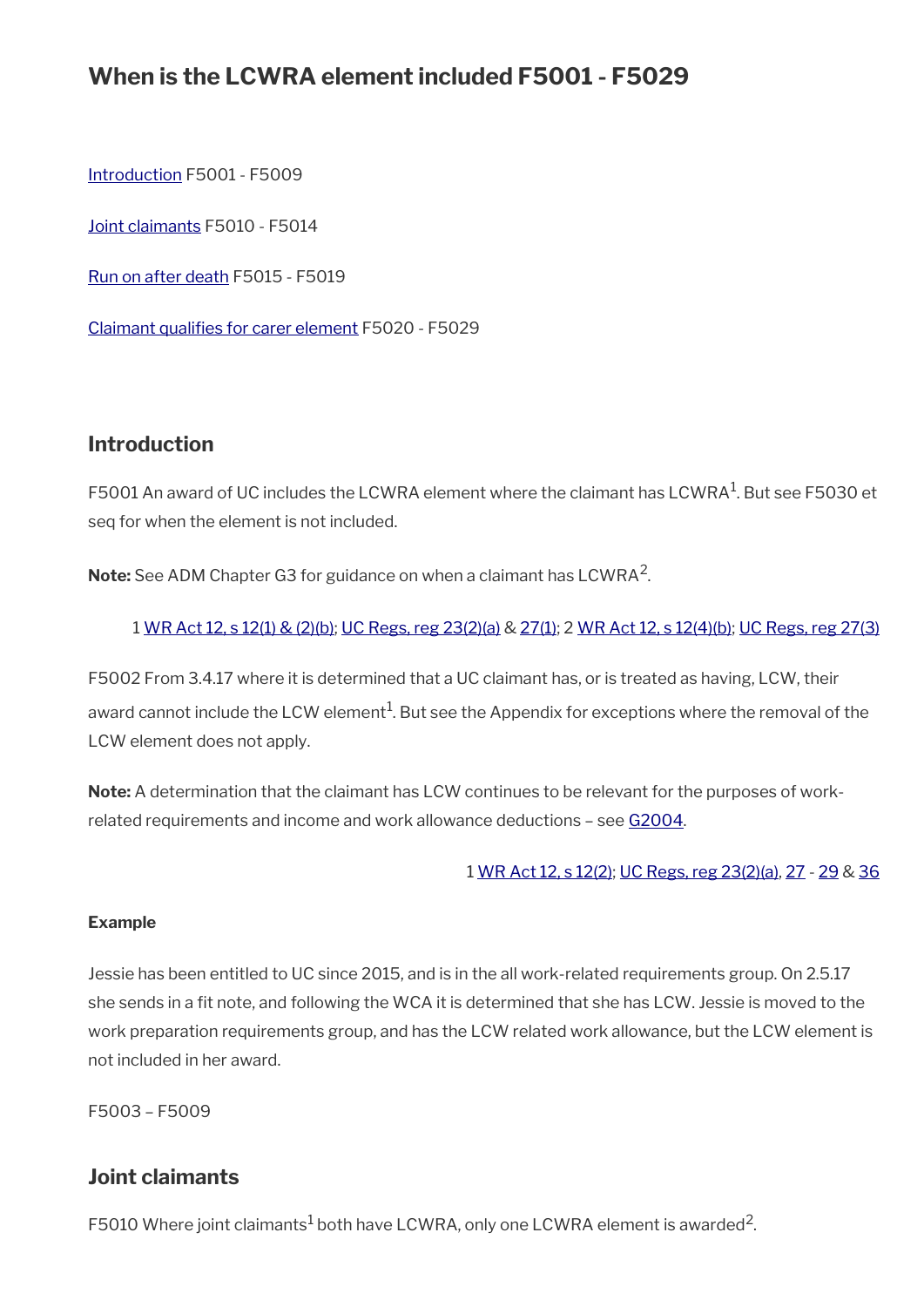# **When is the LCWRA element included F5001 - F5029**

[Introduction](#page-1-0) F5001 - F5009

[Joint claimants](#page-1-1) F5010 - F5014

[Run on after death](#page-2-1) F5015 - F5019

Claimant qualifies for carer element F5020 - F5029

## <span id="page-1-0"></span>**Introduction**

F5001 An award of UC includes the LCWRA element where the claimant has LCWRA $^{\rm 1}$ . But see F5030 et seq for when the element is not included.

**Note:** See ADM Chapter G3 for guidance on when a claimant has LCWRA<sup>2</sup>.

### 1 [WR Act 12, s 12\(1\) & \(2\)\(b\)](https://www.legislation.gov.uk/ukpga/2012/5/section/12); [UC Regs, reg 23\(2\)\(a\)](https://www.legislation.gov.uk/uksi/2013/376/regulation/23) & [27\(1\);](https://www.legislation.gov.uk/uksi/2013/376/regulation/27) 2 [WR Act 12, s 12\(4\)\(b\);](https://www.legislation.gov.uk/ukpga/2012/5/section/12) [UC Regs, reg 27\(3\)](https://www.legislation.gov.uk/uksi/2013/376/regulation/27)

F5002 From 3.4.17 where it is determined that a UC claimant has, or is treated as having, LCW, their award cannot include the LCW element $^1$ . But see the Appendix for exceptions where the removal of the LCW element does not apply.

**Note:** A determination that the claimant has LCW continues to be relevant for the purposes of workrelated requirements and income and work allowance deductions – see [G2004](http://intranet.dwp.gov.uk/manual/advice-decision-making-adm/introduction-g2001-g2009).

1 [WR Act 12, s 12\(2\);](https://www.legislation.gov.uk/ukpga/2012/5/section/12) [UC Regs, reg 23\(2\)\(a\),](https://www.legislation.gov.uk/uksi/2013/376/regulation/23) [27](https://www.legislation.gov.uk/uksi/2013/376/regulation/27) - [29](https://www.legislation.gov.uk/uksi/2013/376/regulation/29) & [36](https://www.legislation.gov.uk/uksi/2013/376/regulation/36)

#### **Example**

Jessie has been entitled to UC since 2015, and is in the all work-related requirements group. On 2.5.17 she sends in a fit note, and following the WCA it is determined that she has LCW. Jessie is moved to the work preparation requirements group, and has the LCW related work allowance, but the LCW element is not included in her award.

F5003 – F5009

# <span id="page-1-1"></span>**Joint claimants**

F5010 Where joint claimants $^1$  both have LCWRA, only one LCWRA element is awarded<sup>2</sup>.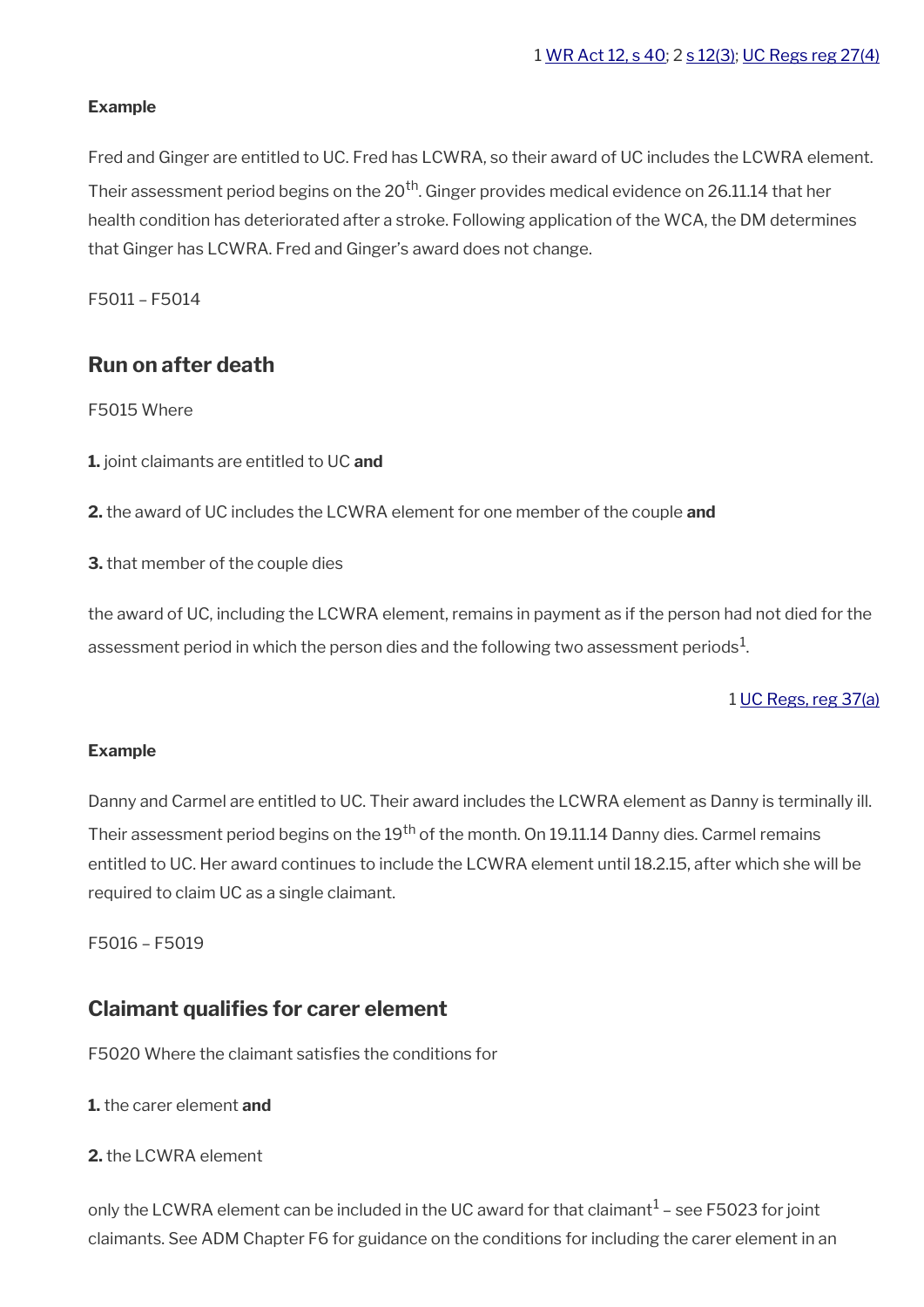#### **Example**

Fred and Ginger are entitled to UC. Fred has LCWRA, so their award of UC includes the LCWRA element. Their assessment period begins on the  $20<sup>th</sup>$ . Ginger provides medical evidence on 26.11.14 that her health condition has deteriorated after a stroke. Following application of the WCA, the DM determines that Ginger has LCWRA. Fred and Ginger's award does not change.

F5011 – F5014

# <span id="page-2-1"></span>**Run on after death**

F5015 Where

- **1.** joint claimants are entitled to UC **and**
- **2.** the award of UC includes the LCWRA element for one member of the couple **and**
- **3.** that member of the couple dies

the award of UC, including the LCWRA element, remains in payment as if the person had not died for the assessment period in which the person dies and the following two assessment periods $^1$ .

### 1 [UC Regs, reg 37\(a\)](https://www.legislation.gov.uk/uksi/2013/376/regulation/37)

#### **Example**

Danny and Carmel are entitled to UC. Their award includes the LCWRA element as Danny is terminally ill. Their assessment period begins on the  $19<sup>th</sup>$  of the month. On 19.11.14 Danny dies. Carmel remains entitled to UC. Her award continues to include the LCWRA element until 18.2.15, after which she will be required to claim UC as a single claimant.

F5016 – F5019

## <span id="page-2-0"></span>**Claimant qualifes for carer element**

F5020 Where the claimant satisfes the conditions for

#### **1.** the carer element **and**

#### **2.** the LCWRA element

only the LCWRA element can be included in the UC award for that claimant $^1$  – see F5023 for joint claimants. See ADM Chapter F6 for guidance on the conditions for including the carer element in an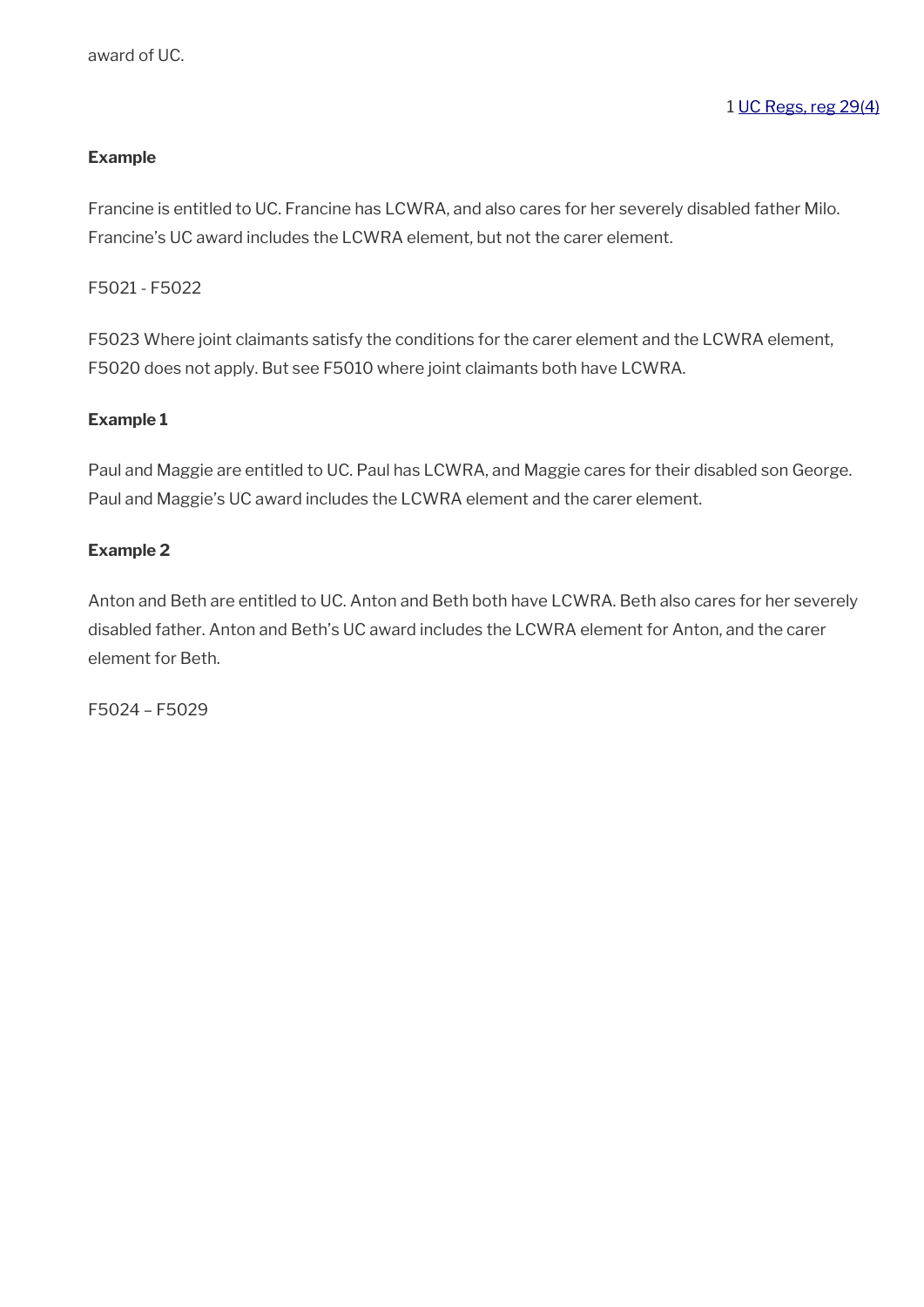### **Example**

Francine is entitled to UC. Francine has LCWRA, and also cares for her severely disabled father Milo. Francine's UC award includes the LCWRA element, but not the carer element.

F5021 - F5022

F5023 Where joint claimants satisfy the conditions for the carer element and the LCWRA element, F5020 does not apply. But see F5010 where joint claimants both have LCWRA.

#### **Example 1**

Paul and Maggie are entitled to UC. Paul has LCWRA, and Maggie cares for their disabled son George. Paul and Maggie's UC award includes the LCWRA element and the carer element.

#### **Example 2**

Anton and Beth are entitled to UC. Anton and Beth both have LCWRA. Beth also cares for her severely disabled father. Anton and Beth's UC award includes the LCWRA element for Anton, and the carer element for Beth.

F5024 – F5029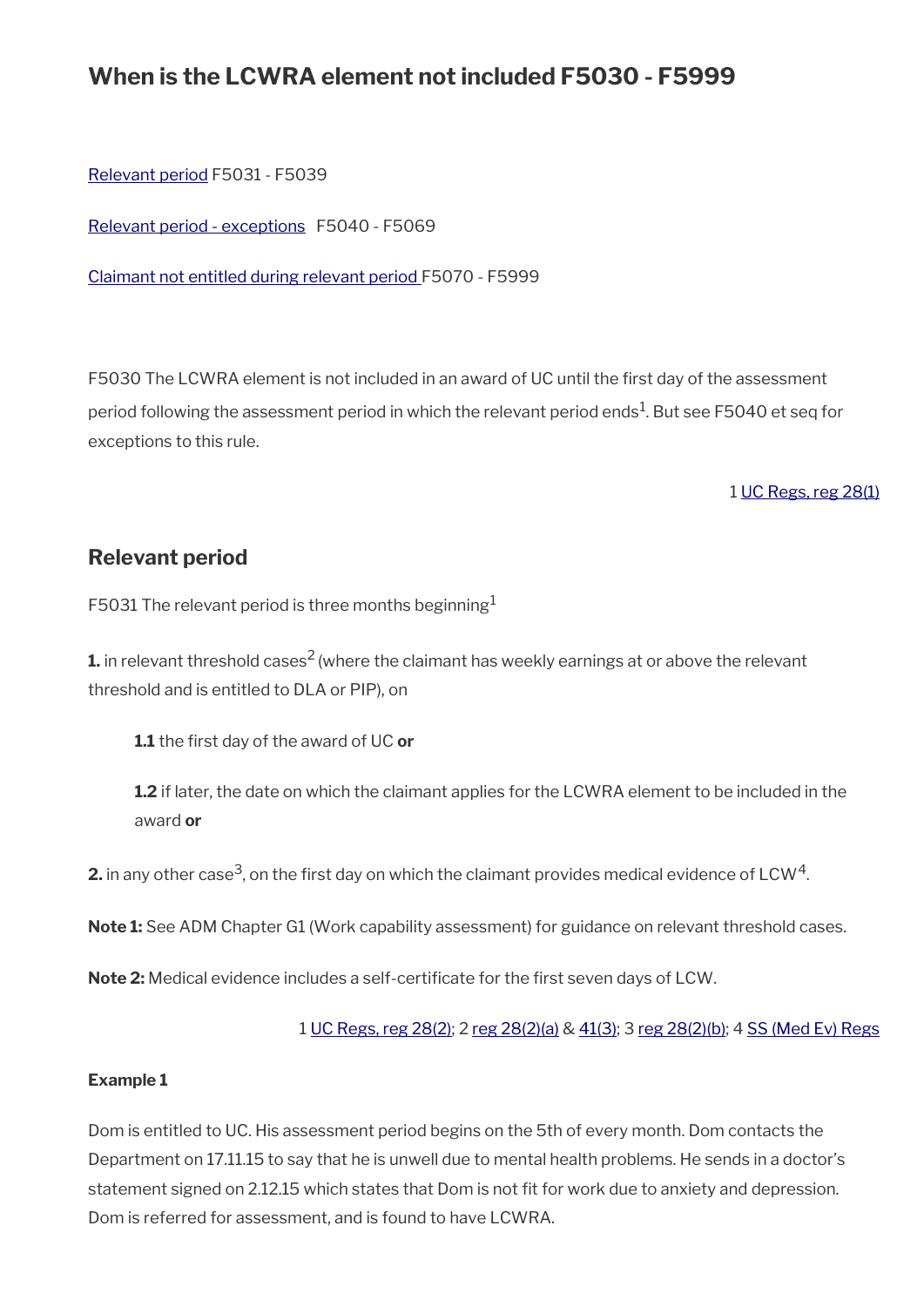# **When is the LCWRA element not included F5030 - F5999**

[Relevant period](#page-4-0) F5031 - F5039

[Relevant period - exceptions](#page-6-0) F5040 - F5069

[Claimant not entitled during relevant period F](#page-9-0)5070 - F5999

F5030 The LCWRA element is not included in an award of UC until the first day of the assessment period following the assessment period in which the relevant period ends $^{\rm 1}$ . But see F5040 et seq for exceptions to this rule.

1 [UC Regs, reg 28\(1\)](https://www.legislation.gov.uk/uksi/2013/376/regulation/28)

# <span id="page-4-0"></span>**Relevant period**

F5031 The relevant period is three months beginning<sup>1</sup>

**1.** in relevant threshold cases<sup>2</sup> (where the claimant has weekly earnings at or above the relevant threshold and is entitled to DLA or PIP), on

**1.1** the frst day of the award of UC **or**

**1.2** if later, the date on which the claimant applies for the LCWRA element to be included in the award **or**

**2.** in any other case<sup>3</sup>, on the first day on which the claimant provides medical evidence of LCW<sup>4</sup>.

**Note 1:** See ADM Chapter G1 (Work capability assessment) for guidance on relevant threshold cases.

**Note 2:** Medical evidence includes a self-certificate for the first seven days of LCW.

1 [UC Regs, reg 28\(2\)](https://www.legislation.gov.uk/uksi/2013/376/regulation/28); 2 [reg 28\(2\)\(a\)](https://www.legislation.gov.uk/uksi/2013/376/regulation/28) & [41\(3\)](https://www.legislation.gov.uk/uksi/2013/376/regulation/41); 3 [reg 28\(2\)\(b\);](https://www.legislation.gov.uk/uksi/2013/376/regulation/28) 4 [SS \(Med Ev\) Regs](https://www.legislation.gov.uk/uksi/1976/615/contents)

#### **Example 1**

Dom is entitled to UC. His assessment period begins on the 5th of every month. Dom contacts the Department on 17.11.15 to say that he is unwell due to mental health problems. He sends in a doctor's statement signed on 2.12.15 which states that Dom is not fit for work due to anxiety and depression. Dom is referred for assessment, and is found to have LCWRA.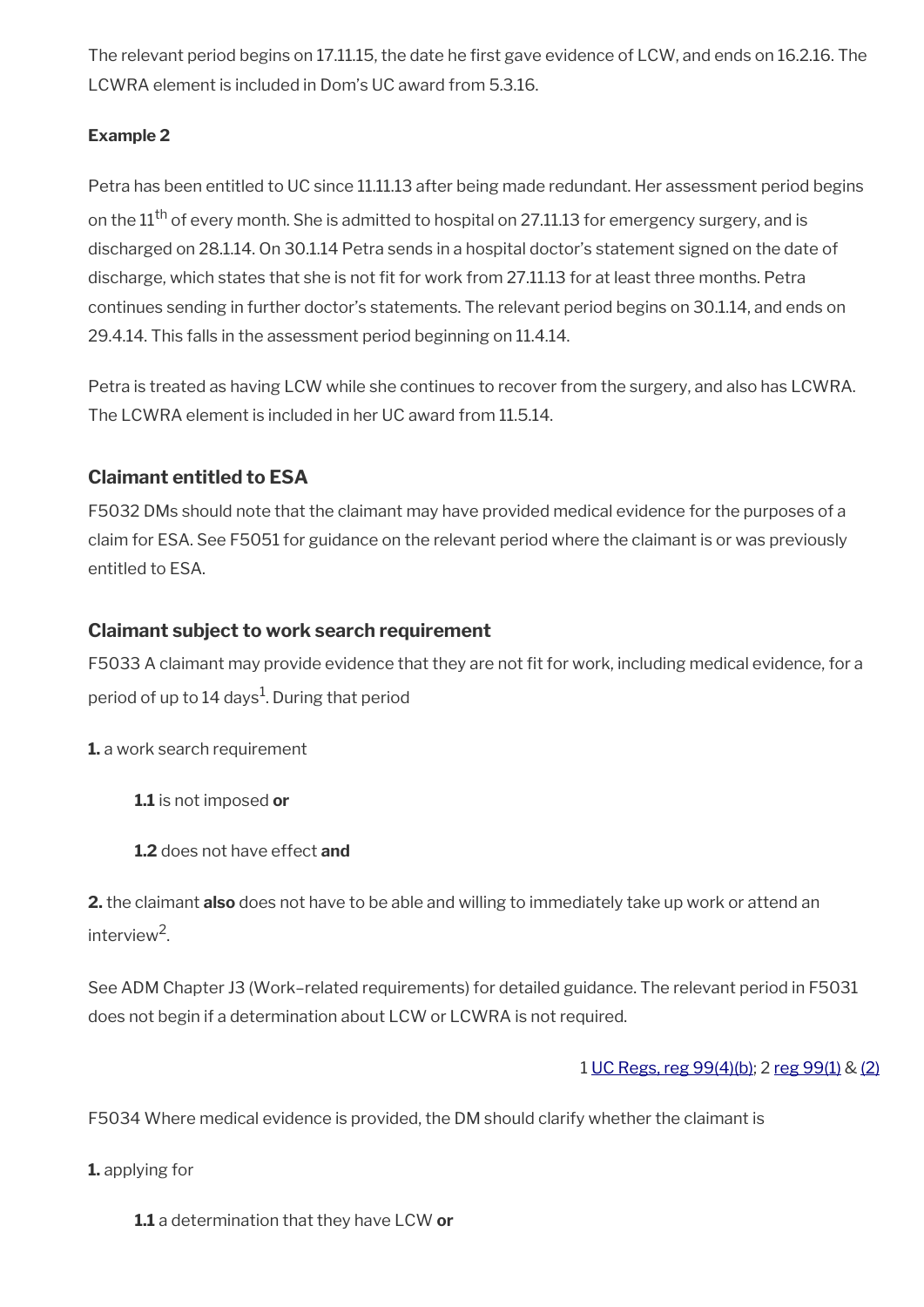The relevant period begins on 17.11.15, the date he first gave evidence of LCW, and ends on 16.2.16. The LCWRA element is included in Dom's UC award from 5.3.16.

## **Example 2**

Petra has been entitled to UC since 11.11.13 after being made redundant. Her assessment period begins on the  $11<sup>th</sup>$  of every month. She is admitted to hospital on 27.11.13 for emergency surgery, and is discharged on 28.1.14. On 30.1.14 Petra sends in a hospital doctor's statement signed on the date of discharge, which states that she is not fit for work from 27.11.13 for at least three months. Petra continues sending in further doctor's statements. The relevant period begins on 30.1.14, and ends on 29.4.14. This falls in the assessment period beginning on 11.4.14.

Petra is treated as having LCW while she continues to recover from the surgery, and also has LCWRA. The LCWRA element is included in her UC award from 11.5.14.

# **Claimant entitled to ESA**

F5032 DMs should note that the claimant may have provided medical evidence for the purposes of a claim for ESA. See F5051 for guidance on the relevant period where the claimant is or was previously entitled to ESA.

## **Claimant subject to work search requirement**

F5033 A claimant may provide evidence that they are not fit for work, including medical evidence, for a period of up to 14 days $^1$ . During that period

**1.** a work search requirement

**1.1** is not imposed **or**

**1.2** does not have effect **and**

**2.** the claimant **also** does not have to be able and willing to immediately take up work or attend an interview<sup>2</sup>.

See ADM Chapter J3 (Work–related requirements) for detailed guidance. The relevant period in F5031 does not begin if a determination about LCW or LCWRA is not required.

## 1 [UC Regs, reg 99\(4\)\(b\)](https://www.legislation.gov.uk/uksi/2013/376/regulation/99); 2 [reg 99\(1\)](https://www.legislation.gov.uk/uksi/2013/376/regulation/99) & [\(2\)](https://www.legislation.gov.uk/uksi/2013/376/regulation/99)

F5034 Where medical evidence is provided, the DM should clarify whether the claimant is

**1.** applying for

**1.1** a determination that they have LCW **or**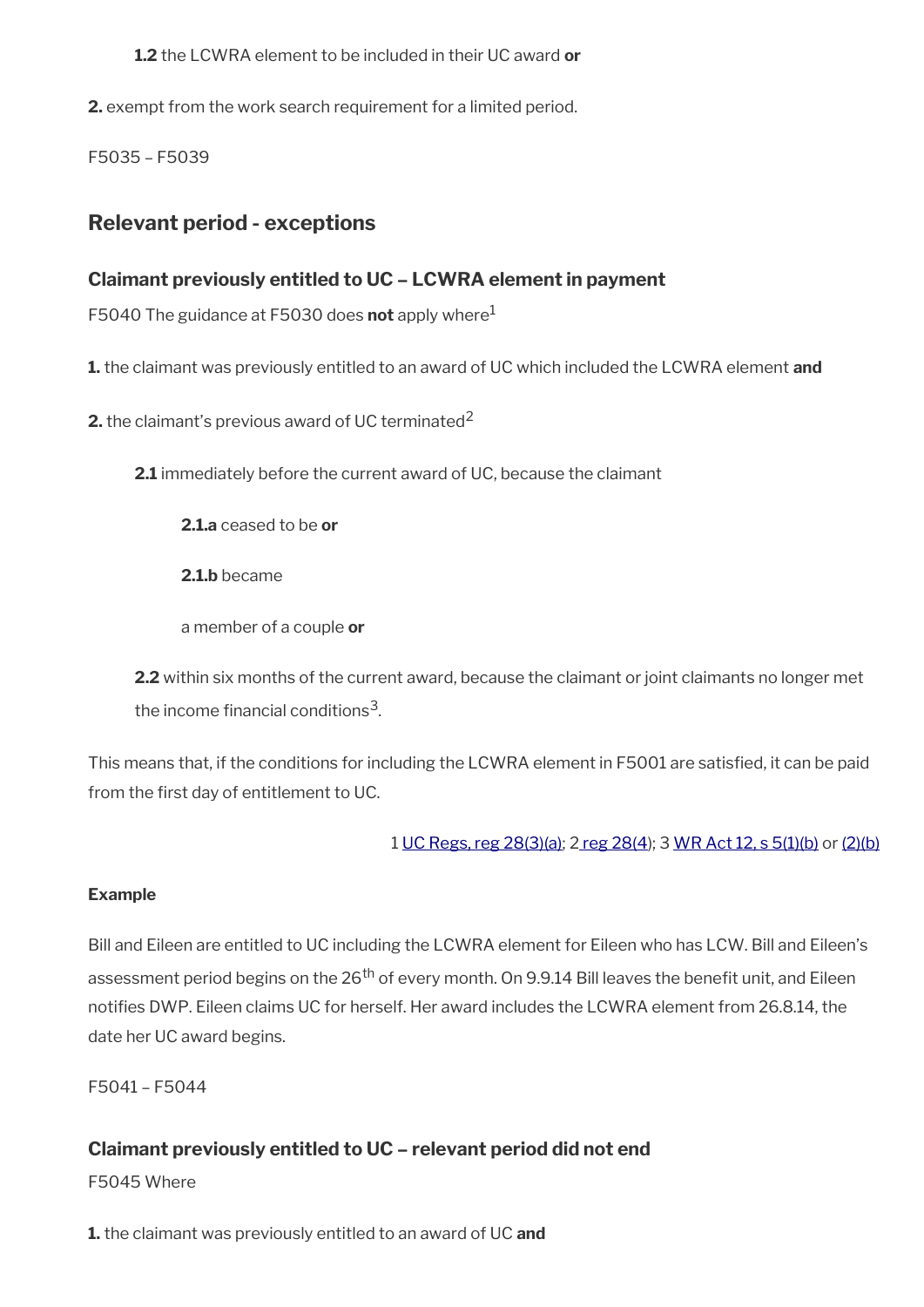**1.2** the LCWRA element to be included in their UC award **or**

**2.** exempt from the work search requirement for a limited period.

F5035 – F5039

# <span id="page-6-0"></span>**Relevant period - exceptions**

## **Claimant previously entitled to UC – LCWRA element in payment**

F5040 The guidance at F5030 does **not** apply where<sup>1</sup>

**1.** the claimant was previously entitled to an award of UC which included the LCWRA element **and**

**2.** the claimant's previous award of UC terminated<sup>2</sup>

**2.1** immediately before the current award of UC, because the claimant

**2.1.a** ceased to be **or**

**2.1.b** became

a member of a couple **or**

**2.2** within six months of the current award, because the claimant or joint claimants no longer met the income financial conditions $^3$ .

This means that, if the conditions for including the LCWRA element in F5001 are satisfied, it can be paid from the first day of entitlement to UC.

1 [UC Regs, reg 28\(3\)\(a\)](https://www.legislation.gov.uk/uksi/2013/376/regulation/28); [2 reg 28\(4](https://www.legislation.gov.uk/uksi/2013/376/regulation/28)); 3 [WR Act 12, s 5\(1\)\(b\)](https://www.legislation.gov.uk/ukpga/2012/5/section/5) or [\(2\)\(b\)](https://www.legislation.gov.uk/ukpga/2012/5/section/5)

### **Example**

Bill and Eileen are entitled to UC including the LCWRA element for Eileen who has LCW. Bill and Eileen's assessment period begins on the 26<sup>th</sup> of every month. On 9.9.14 Bill leaves the benefit unit, and Eileen notifes DWP. Eileen claims UC for herself. Her award includes the LCWRA element from 26.8.14, the date her UC award begins.

F5041 – F5044

# **Claimant previously entitled to UC – relevant period did not end**

F5045 Where

**1.** the claimant was previously entitled to an award of UC **and**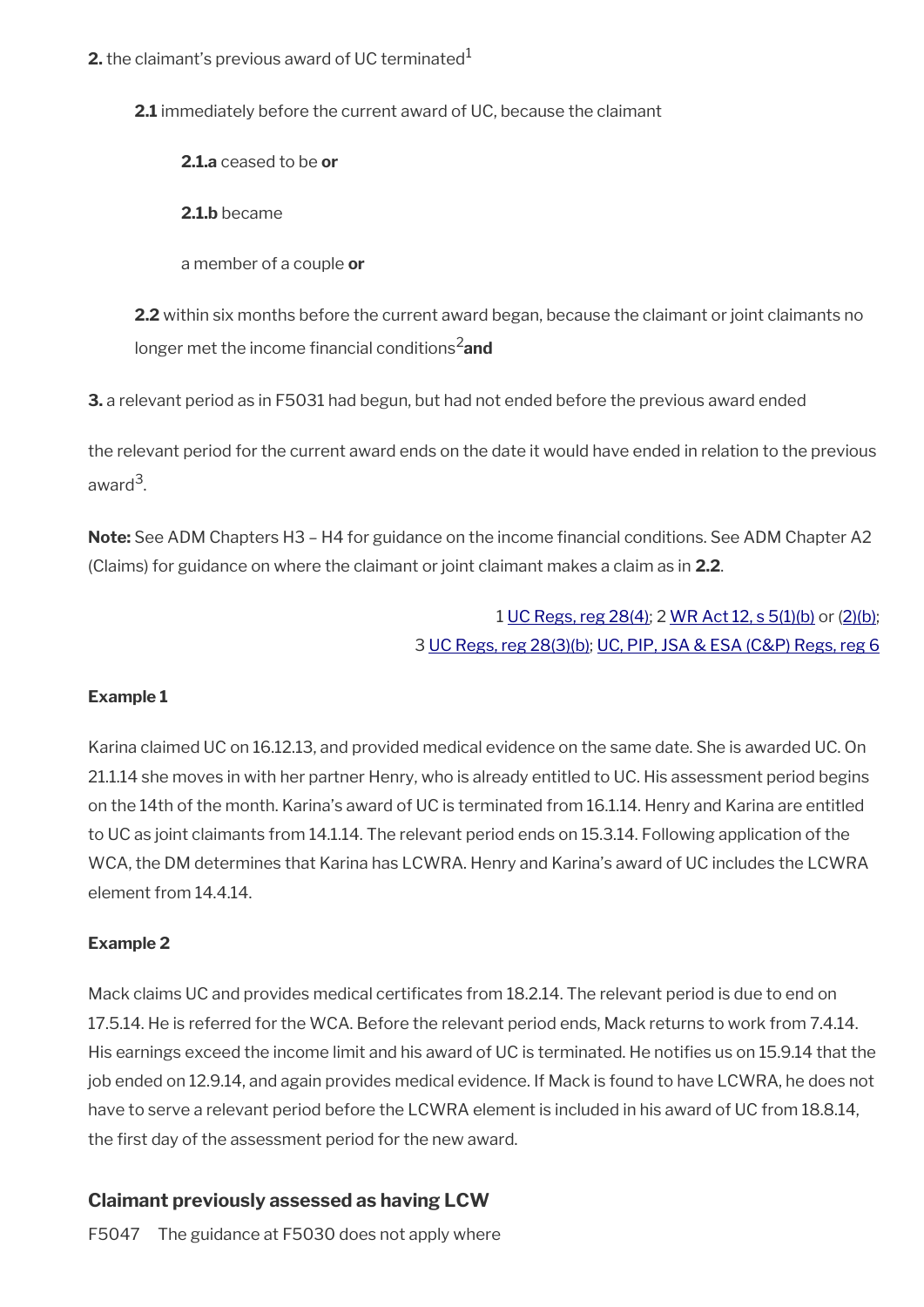**2.1** immediately before the current award of UC, because the claimant

**2.1.a** ceased to be **or**

**2.1.b** became

a member of a couple **or**

**2.2** within six months before the current award began, because the claimant or joint claimants no longer met the income financial conditions<sup>2</sup>and

**3.** a relevant period as in F5031 had begun, but had not ended before the previous award ended

the relevant period for the current award ends on the date it would have ended in relation to the previous award<sup>3</sup>.

**Note:** See ADM Chapters H3 – H4 for guidance on the income fnancial conditions. See ADM Chapter A2 (Claims) for guidance on where the claimant or joint claimant makes a claim as in **2.2**.

# 1 [UC Regs, reg 28\(4\)](https://www.legislation.gov.uk/uksi/2013/376/regulation/28); 2 [WR Act 12, s 5\(1\)\(b\)](https://www.legislation.gov.uk/ukpga/2012/5/section/5) or [\(2\)\(b\);](https://www.legislation.gov.uk/ukpga/2012/5/section/5) 3 [UC Regs, reg 28\(3\)\(b\)](https://www.legislation.gov.uk/uksi/2013/376/regulation/28); [UC, PIP, JSA & ESA \(C&P\) Regs, reg 6](https://www.legislation.gov.uk/uksi/2013/380/regulation/6)

## **Example 1**

Karina claimed UC on 16.12.13, and provided medical evidence on the same date. She is awarded UC. On 21.1.14 she moves in with her partner Henry, who is already entitled to UC. His assessment period begins on the 14th of the month. Karina's award of UC is terminated from 16.1.14. Henry and Karina are entitled to UC as joint claimants from 14.1.14. The relevant period ends on 15.3.14. Following application of the WCA, the DM determines that Karina has LCWRA. Henry and Karina's award of UC includes the LCWRA element from 14.4.14.

## **Example 2**

Mack claims UC and provides medical certificates from 18.2.14. The relevant period is due to end on 17.5.14. He is referred for the WCA. Before the relevant period ends, Mack returns to work from 7.4.14. His earnings exceed the income limit and his award of UC is terminated. He notifes us on 15.9.14 that the job ended on 12.9.14, and again provides medical evidence. If Mack is found to have LCWRA, he does not have to serve a relevant period before the LCWRA element is included in his award of UC from 18.8.14, the first day of the assessment period for the new award.

# **Claimant previously assessed as having LCW**

F5047 The guidance at F5030 does not apply where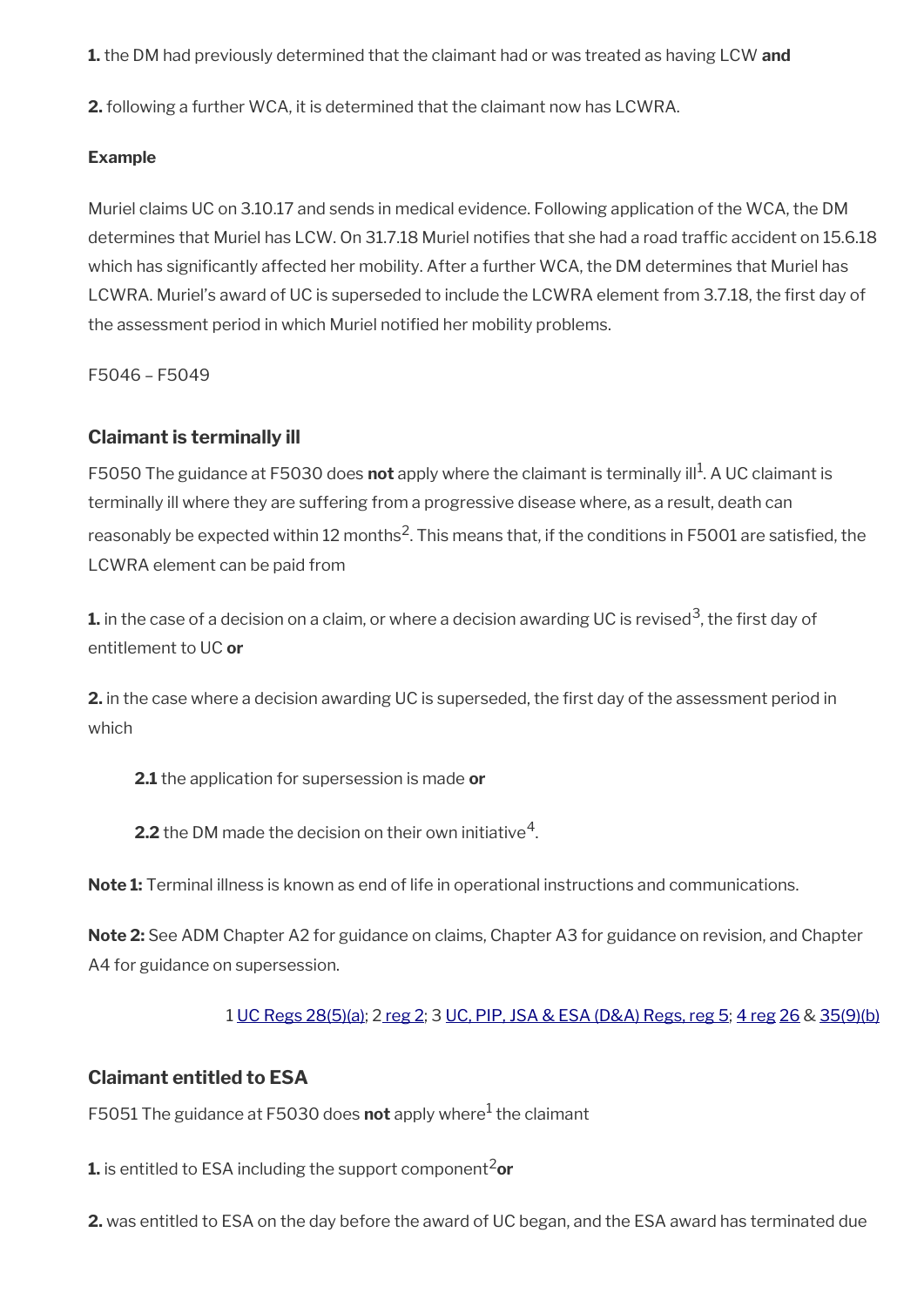**1.** the DM had previously determined that the claimant had or was treated as having LCW **and**

**2.** following a further WCA, it is determined that the claimant now has LCWRA.

#### **Example**

Muriel claims UC on 3.10.17 and sends in medical evidence. Following application of the WCA, the DM determines that Muriel has LCW. On 31.7.18 Muriel notifies that she had a road traffic accident on 15.6.18 which has significantly affected her mobility. After a further WCA, the DM determines that Muriel has LCWRA. Muriel's award of UC is superseded to include the LCWRA element from 3.7.18, the first day of the assessment period in which Muriel notifed her mobility problems.

F5046 – F5049

### **Claimant is terminally ill**

F5050 The guidance at F5030 does not apply where the claimant is terminally ill<sup>1</sup>. A UC claimant is terminally ill where they are suffering from a progressive disease where, as a result, death can reasonably be expected within 12 months<sup>2</sup>. This means that, if the conditions in F5001 are satisfied, the LCWRA element can be paid from

**1.** in the case of a decision on a claim, or where a decision awarding UC is revised<sup>3</sup>, the first day of entitlement to UC **or**

**2.** in the case where a decision awarding UC is superseded, the first day of the assessment period in which

**2.1** the application for supersession is made **or**

**2.2** the DM made the decision on their own initiative $^4$ .

**Note 1:** Terminal illness is known as end of life in operational instructions and communications.

**Note 2:** See ADM Chapter A2 for guidance on claims, Chapter A3 for guidance on revision, and Chapter A4 for guidance on supersession.

### 1 [UC Regs 28\(5\)\(a\)](https://www.legislation.gov.uk/uksi/2013/376/regulation/28); [2 reg 2](https://www.legislation.gov.uk/uksi/2013/376/regulation/2); 3 [UC, PIP, JSA & ESA \(D&A\) Regs, reg 5;](https://www.legislation.gov.uk/uksi/2013/381/regulation/5) [4 reg](https://www.legislation.gov.uk/uksi/2013/381/regulation/4) [26](https://www.legislation.gov.uk/uksi/2013/381/regulation/26) & [35\(9\)\(b\)](https://www.legislation.gov.uk/uksi/2013/381/regulation/35)

## **Claimant entitled to ESA**

F5051 The guidance at F5030 does **not** apply where<sup>1</sup> the claimant

**1.** is entitled to ESA including the support component<sup>2</sup>or

**2.** was entitled to ESA on the day before the award of UC began, and the ESA award has terminated due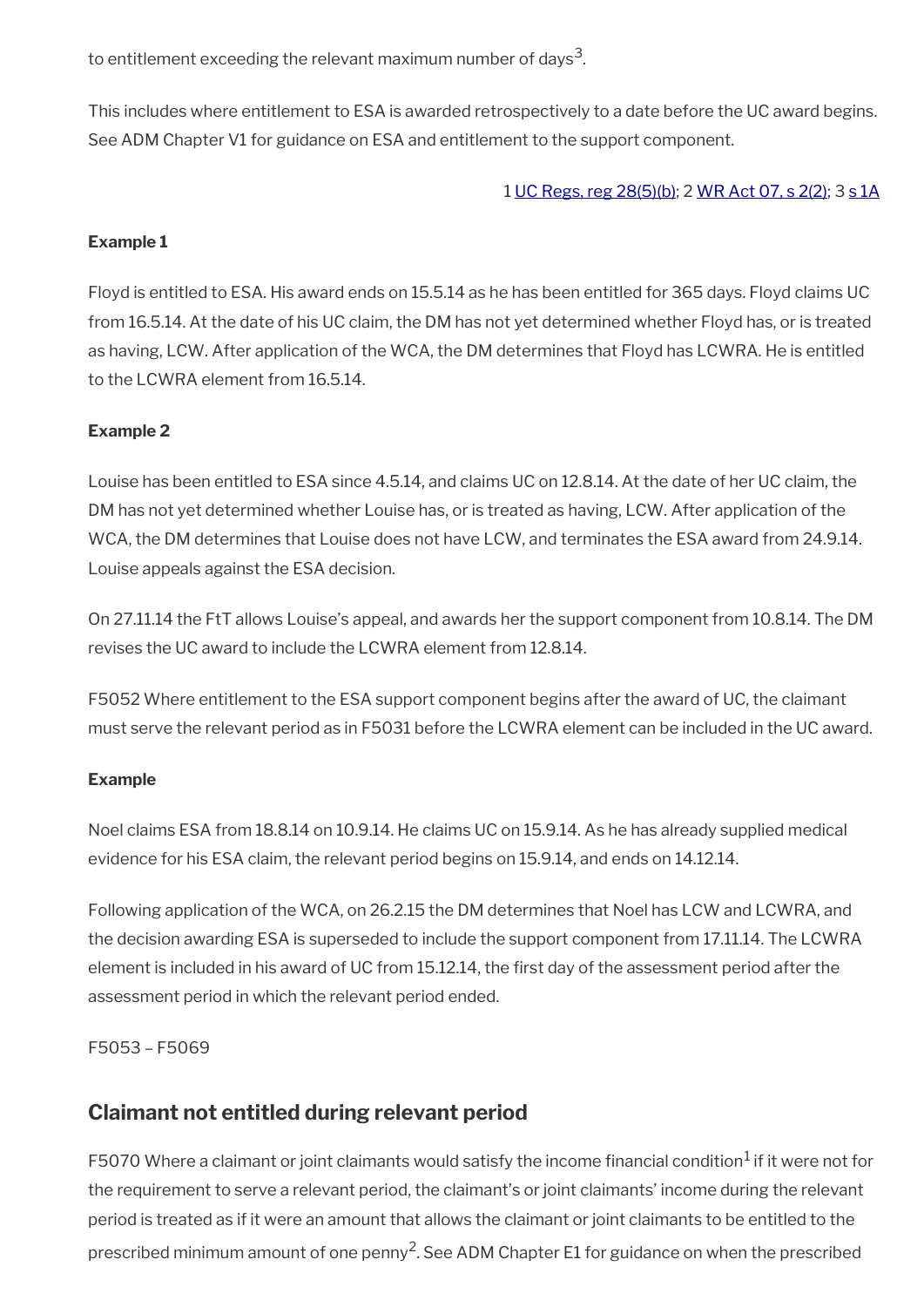to entitlement exceeding the relevant maximum number of days $^{\rm 3}$ .

This includes where entitlement to ESA is awarded retrospectively to a date before the UC award begins. See ADM Chapter V1 for guidance on ESA and entitlement to the support component.

1 [UC Regs, reg 28\(5\)\(b\);](https://www.legislation.gov.uk/uksi/2013/376/regulation/28) 2 [WR Act 07, s 2\(2\)](https://www.legislation.gov.uk/ukpga/2007/5/section/2); 3 [s 1A](https://www.legislation.gov.uk/ukpga/2007/5/section/1A)

### **Example 1**

Floyd is entitled to ESA. His award ends on 15.5.14 as he has been entitled for 365 days. Floyd claims UC from 16.5.14. At the date of his UC claim, the DM has not yet determined whether Floyd has, or is treated as having, LCW. After application of the WCA, the DM determines that Floyd has LCWRA. He is entitled to the LCWRA element from 16.5.14.

### **Example 2**

Louise has been entitled to ESA since 4.5.14, and claims UC on 12.8.14. At the date of her UC claim, the DM has not yet determined whether Louise has, or is treated as having, LCW. After application of the WCA, the DM determines that Louise does not have LCW, and terminates the ESA award from 24.9.14. Louise appeals against the ESA decision.

On 27.11.14 the FtT allows Louise's appeal, and awards her the support component from 10.8.14. The DM revises the UC award to include the LCWRA element from 12.8.14.

F5052 Where entitlement to the ESA support component begins after the award of UC, the claimant must serve the relevant period as in F5031 before the LCWRA element can be included in the UC award.

### **Example**

Noel claims ESA from 18.8.14 on 10.9.14. He claims UC on 15.9.14. As he has already supplied medical evidence for his ESA claim, the relevant period begins on 15.9.14, and ends on 14.12.14.

Following application of the WCA, on 26.2.15 the DM determines that Noel has LCW and LCWRA, and the decision awarding ESA is superseded to include the support component from 17.11.14. The LCWRA element is included in his award of UC from 15.12.14, the frst day of the assessment period after the assessment period in which the relevant period ended.

F5053 – F5069

# <span id="page-9-0"></span>**Claimant not entitled during relevant period**

F5070 Where a claimant or joint claimants would satisfy the income financial condition $^1$  if it were not for the requirement to serve a relevant period, the claimant's or joint claimants' income during the relevant period is treated as if it were an amount that allows the claimant or joint claimants to be entitled to the prescribed minimum amount of one penny<sup>2</sup>. See ADM Chapter E1 for guidance on when the prescribed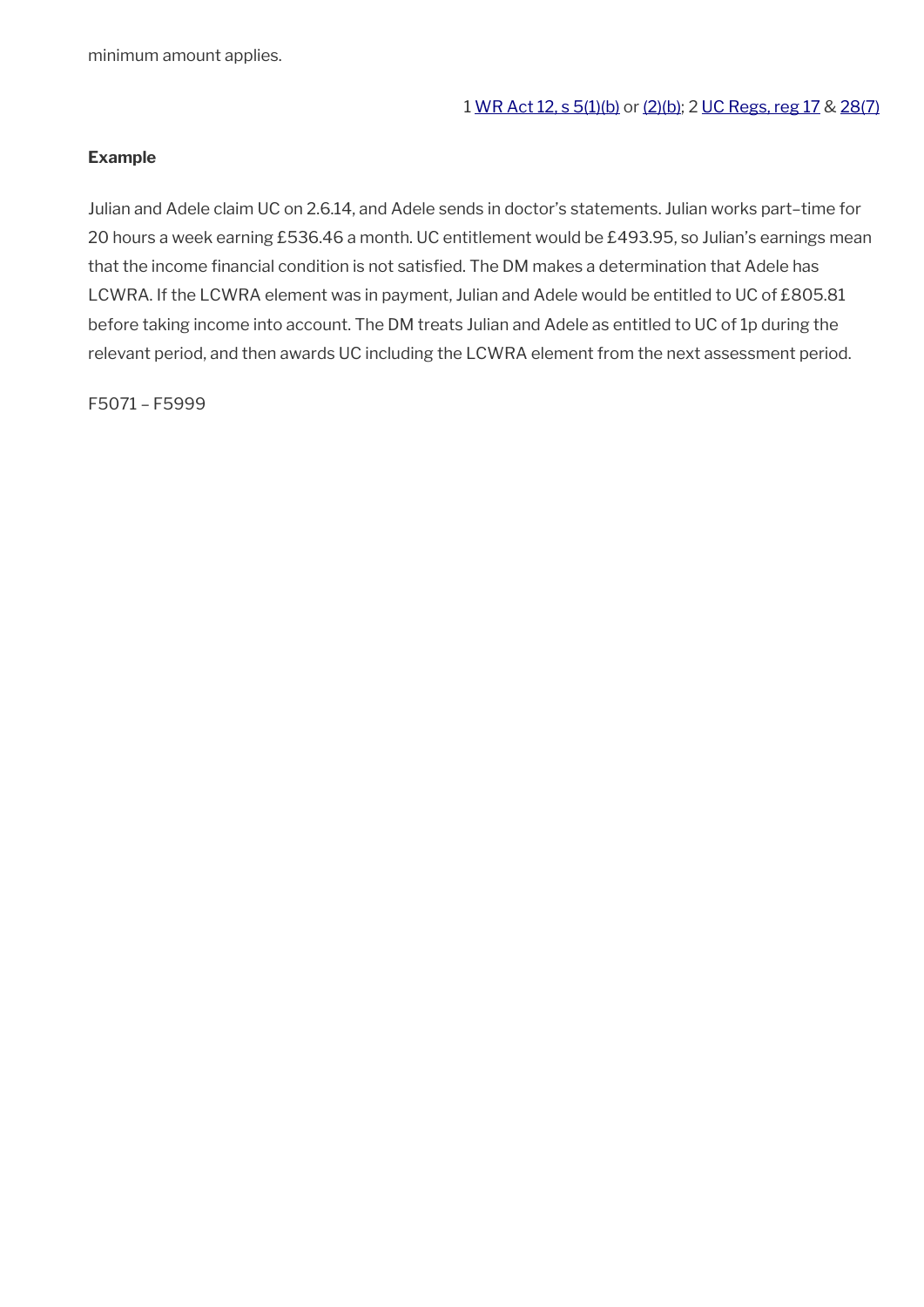minimum amount applies.

#### 1 [WR Act 12, s 5\(1\)\(b\)](https://www.legislation.gov.uk/ukpga/2012/5/section/5) or [\(2\)\(b\)](https://www.legislation.gov.uk/ukpga/2012/5/section/5); 2 [UC Regs, reg 17](https://www.legislation.gov.uk/uksi/2013/376/regulation/17) & [28\(7\)](https://www.legislation.gov.uk/uksi/2013/376/regulation/28)

#### **Example**

Julian and Adele claim UC on 2.6.14, and Adele sends in doctor's statements. Julian works part–time for 20 hours a week earning £536.46 a month. UC entitlement would be £493.95, so Julian's earnings mean that the income financial condition is not satisfied. The DM makes a determination that Adele has LCWRA. If the LCWRA element was in payment, Julian and Adele would be entitled to UC of £805.81 before taking income into account. The DM treats Julian and Adele as entitled to UC of 1p during the relevant period, and then awards UC including the LCWRA element from the next assessment period.

F5071 – F5999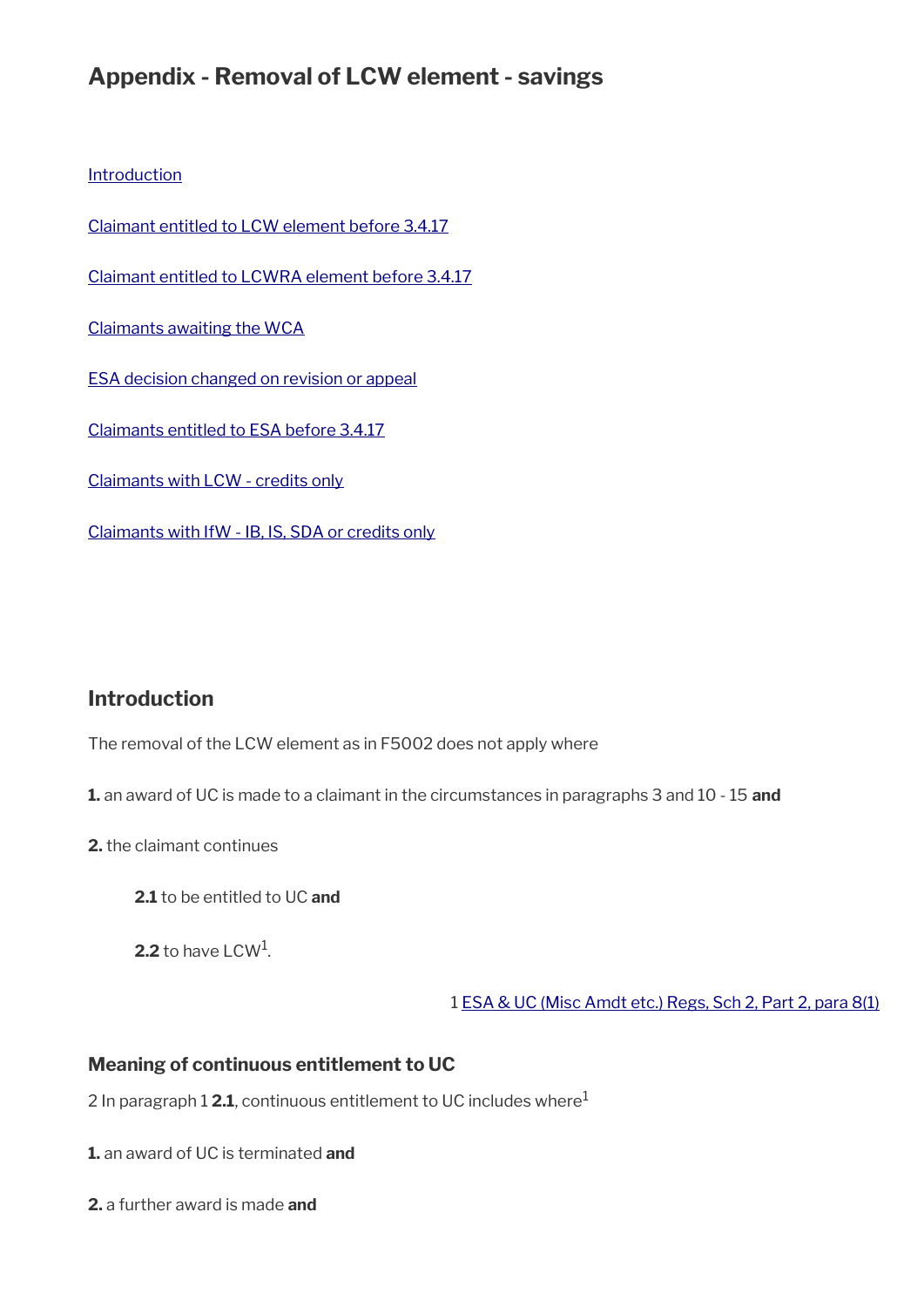# **Appendix - Removal of LCW element - savings**

**[Introduction](#page-11-0)** 

[Claimant entitled to LCW element before 3.4.17](#page-12-0)

[Claimant entitled to LCWRA element before 3.4.17](#page-15-0)

[Claimants awaiting the WCA](#page-16-1)

[ESA decision changed on revision or appeal](#page-16-0)

[Claimants entitled to ESA before 3.4.17](#page-17-0)

[Claimants with LCW - credits only](#page-18-1)

[Claimants with IfW - IB, IS, SDA or credits only](#page-18-0)

# <span id="page-11-0"></span>**Introduction**

The removal of the LCW element as in F5002 does not apply where

**1.** an award of UC is made to a claimant in the circumstances in paragraphs 3 and 10 - 15 **and**

**2.** the claimant continues

**2.1** to be entitled to UC **and**

 $\mathbf{2.2}$  to have LCW<sup>1</sup>.

1 [ESA & UC \(Misc Amdt etc.\) Regs, Sch 2, Part 2, para 8\(1\)](https://www.legislation.gov.uk/uksi/2017/204/schedule/2)

### **Meaning of continuous entitlement to UC**

2 In paragraph 1 **2.1**, continuous entitlement to UC includes where<sup>1</sup>

**1.** an award of UC is terminated **and**

**2.** a further award is made **and**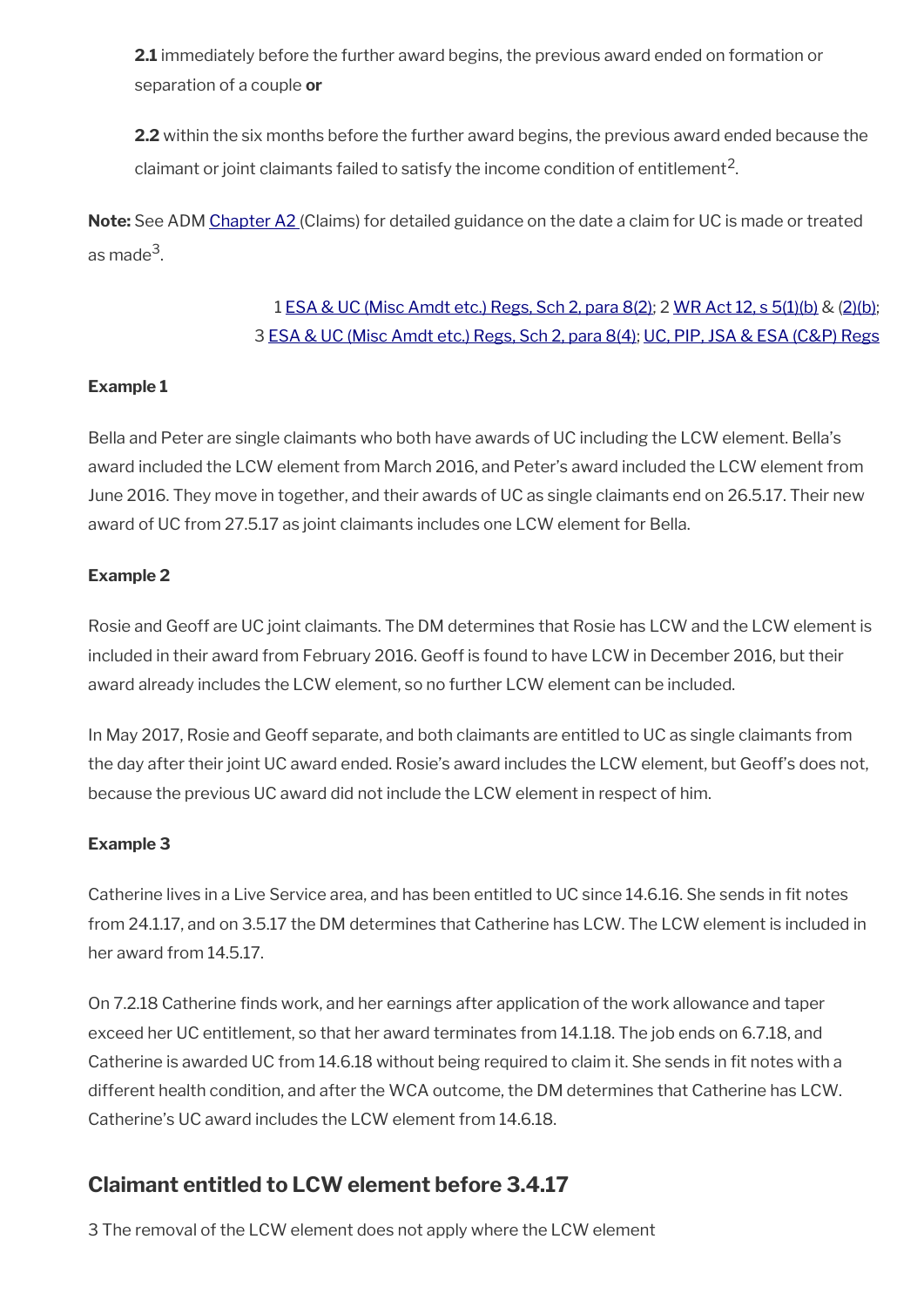**2.1** immediately before the further award begins, the previous award ended on formation or separation of a couple **or**

**2.2** within the six months before the further award begins, the previous award ended because the claimant or joint claimants failed to satisfy the income condition of entitlement<sup>2</sup>.

**Note:** See ADM [Chapter A2](http://intranet.dwp.gov.uk/manual/advice-decision-making-adm/adm-a2-claims) (Claims) for detailed guidance on the date a claim for UC is made or treated as made<sup>3</sup>.

# 1 [ESA & UC \(Misc Amdt etc.\) Regs, Sch 2, para 8\(2\);](https://www.legislation.gov.uk/uksi/2017/204/schedule/2) 2 [WR Act 12, s 5\(1\)\(b\)](https://www.legislation.gov.uk/ukpga/2012/5/section/5) & [\(2\)\(b\);](https://www.legislation.gov.uk/ukpga/2012/5/section/5) 3 [ESA & UC \(Misc Amdt etc.\) Regs, Sch 2, para 8\(4\)](https://www.legislation.gov.uk/uksi/2017/204/schedule/2); [UC, PIP, JSA & ESA \(C&P\) Regs](https://www.legislation.gov.uk/uksi/2013/380/contents)

### **Example 1**

Bella and Peter are single claimants who both have awards of UC including the LCW element. Bella's award included the LCW element from March 2016, and Peter's award included the LCW element from June 2016. They move in together, and their awards of UC as single claimants end on 26.5.17. Their new award of UC from 27.5.17 as joint claimants includes one LCW element for Bella.

### **Example 2**

Rosie and Geoff are UC joint claimants. The DM determines that Rosie has LCW and the LCW element is included in their award from February 2016. Geoff is found to have LCW in December 2016, but their award already includes the LCW element, so no further LCW element can be included.

In May 2017, Rosie and Geoff separate, and both claimants are entitled to UC as single claimants from the day after their joint UC award ended. Rosie's award includes the LCW element, but Geoff's does not, because the previous UC award did not include the LCW element in respect of him.

#### **Example 3**

Catherine lives in a Live Service area, and has been entitled to UC since 14.6.16. She sends in ft notes from 24.1.17, and on 3.5.17 the DM determines that Catherine has LCW. The LCW element is included in her award from 14.5.17.

On 7.2.18 Catherine fnds work, and her earnings after application of the work allowance and taper exceed her UC entitlement, so that her award terminates from 14.1.18. The job ends on 6.7.18, and Catherine is awarded UC from 14.6.18 without being required to claim it. She sends in fit notes with a different health condition, and after the WCA outcome, the DM determines that Catherine has LCW. Catherine's UC award includes the LCW element from 14.6.18.

# <span id="page-12-0"></span>**Claimant entitled to LCW element before 3.4.17**

3 The removal of the LCW element does not apply where the LCW element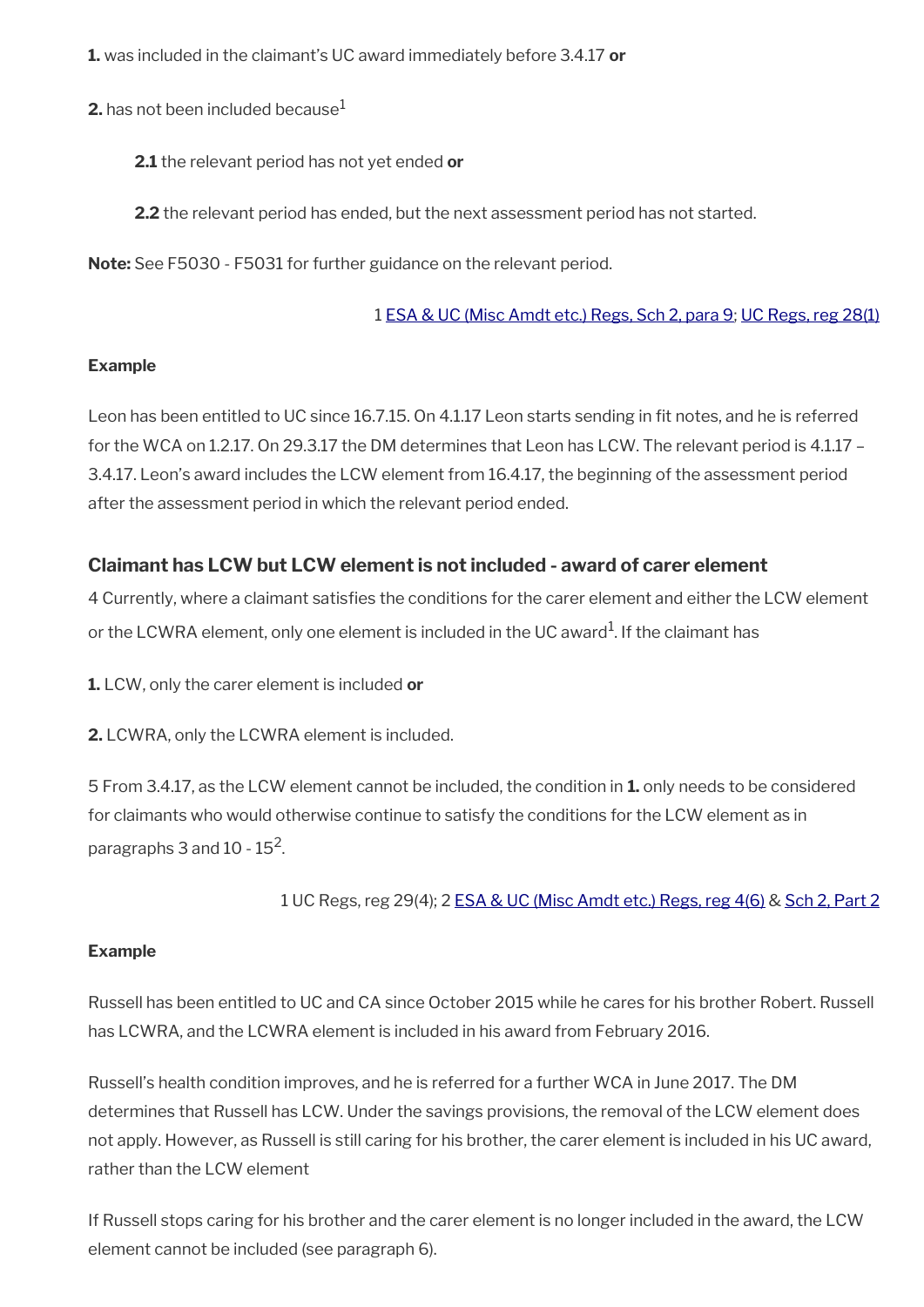**1.** was included in the claimant's UC award immediately before 3.4.17 **or**

**2.** has not been included because $^1$ 

**2.1** the relevant period has not yet ended **or**

**2.2** the relevant period has ended, but the next assessment period has not started.

**Note:** See F5030 - F5031 for further guidance on the relevant period.

### 1 [ESA & UC \(Misc Amdt etc.\) Regs, Sch 2, para 9;](https://www.legislation.gov.uk/uksi/2017/204/schedule/2) [UC Regs, reg 28\(1\)](https://www.legislation.gov.uk/uksi/2013/376/regulation/28)

### **Example**

Leon has been entitled to UC since 16.7.15. On 4.1.17 Leon starts sending in fit notes, and he is referred for the WCA on 1.2.17. On 29.3.17 the DM determines that Leon has LCW. The relevant period is 4.1.17 – 3.4.17. Leon's award includes the LCW element from 16.4.17, the beginning of the assessment period after the assessment period in which the relevant period ended.

## **Claimant has LCW but LCW element is not included - award of carer element**

4 Currently, where a claimant satisfes the conditions for the carer element and either the LCW element or the LCWRA element, only one element is included in the UC award $^{\rm 1}$ . If the claimant has

**1.** LCW, only the carer element is included **or**

**2.** LCWRA, only the LCWRA element is included.

5 From 3.4.17, as the LCW element cannot be included, the condition in **1.** only needs to be considered for claimants who would otherwise continue to satisfy the conditions for the LCW element as in paragraphs 3 and 10 - 15<sup>2</sup>.

1 UC Regs, reg 29(4); 2 [ESA & UC \(Misc Amdt etc.\) Regs, reg 4\(6\)](https://www.legislation.gov.uk/uksi/2017/204/regulation/4) & [Sch 2, Part 2](https://www.legislation.gov.uk/uksi/2017/204/schedule/2)

### **Example**

Russell has been entitled to UC and CA since October 2015 while he cares for his brother Robert. Russell has LCWRA, and the LCWRA element is included in his award from February 2016.

Russell's health condition improves, and he is referred for a further WCA in June 2017. The DM determines that Russell has LCW. Under the savings provisions, the removal of the LCW element does not apply. However, as Russell is still caring for his brother, the carer element is included in his UC award, rather than the LCW element

If Russell stops caring for his brother and the carer element is no longer included in the award, the LCW element cannot be included (see paragraph 6).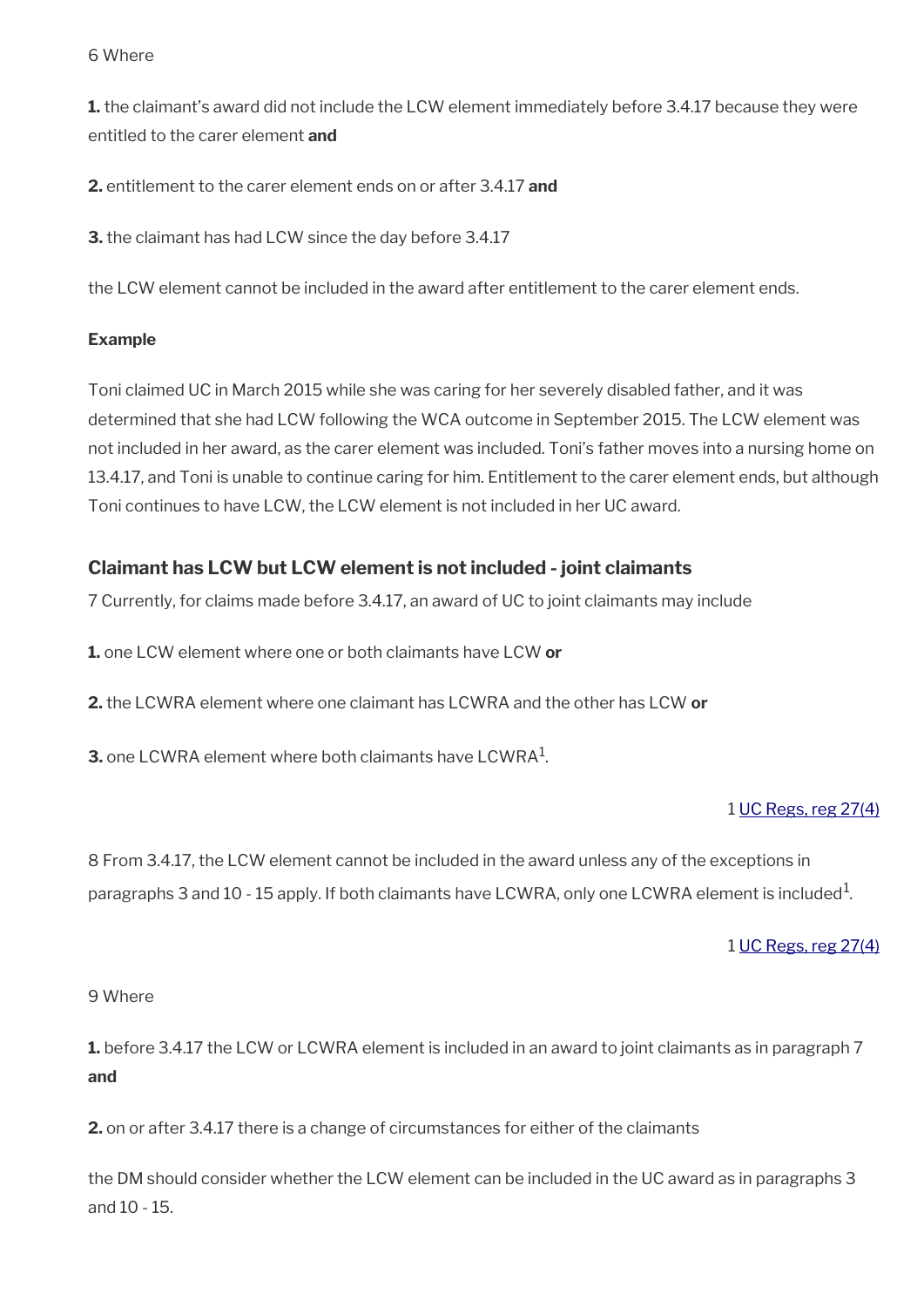#### 6 Where

**1.** the claimant's award did not include the LCW element immediately before 3.4.17 because they were entitled to the carer element **and**

**2.** entitlement to the carer element ends on or after 3.4.17 **and**

**3.** the claimant has had LCW since the day before 3.4.17

the LCW element cannot be included in the award after entitlement to the carer element ends.

#### **Example**

Toni claimed UC in March 2015 while she was caring for her severely disabled father, and it was determined that she had LCW following the WCA outcome in September 2015. The LCW element was not included in her award, as the carer element was included. Toni's father moves into a nursing home on 13.4.17, and Toni is unable to continue caring for him. Entitlement to the carer element ends, but although Toni continues to have LCW, the LCW element is not included in her UC award.

### **Claimant has LCW but LCW element is not included - joint claimants**

7 Currently, for claims made before 3.4.17, an award of UC to joint claimants may include

**1.** one LCW element where one or both claimants have LCW **or**

**2.** the LCWRA element where one claimant has LCWRA and the other has LCW **or**

**3.** one LCWRA element where both claimants have LCWRA<sup>1</sup> .

#### 1 [UC Regs, reg 27\(4\)](https://www.legislation.gov.uk/uksi/2013/376/regulation/27)

8 From 3.4.17, the LCW element cannot be included in the award unless any of the exceptions in paragraphs 3 and 10 - 15 apply. If both claimants have LCWRA, only one LCWRA element is included $^{\rm 1}$ .

#### 1 [UC Regs, reg 27\(4\)](https://www.legislation.gov.uk/uksi/2013/376/regulation/27)

#### 9 Where

**1.** before 3.4.17 the LCW or LCWRA element is included in an award to joint claimants as in paragraph 7 **and**

**2.** on or after 3.4.17 there is a change of circumstances for either of the claimants

the DM should consider whether the LCW element can be included in the UC award as in paragraphs 3 and 10 - 15.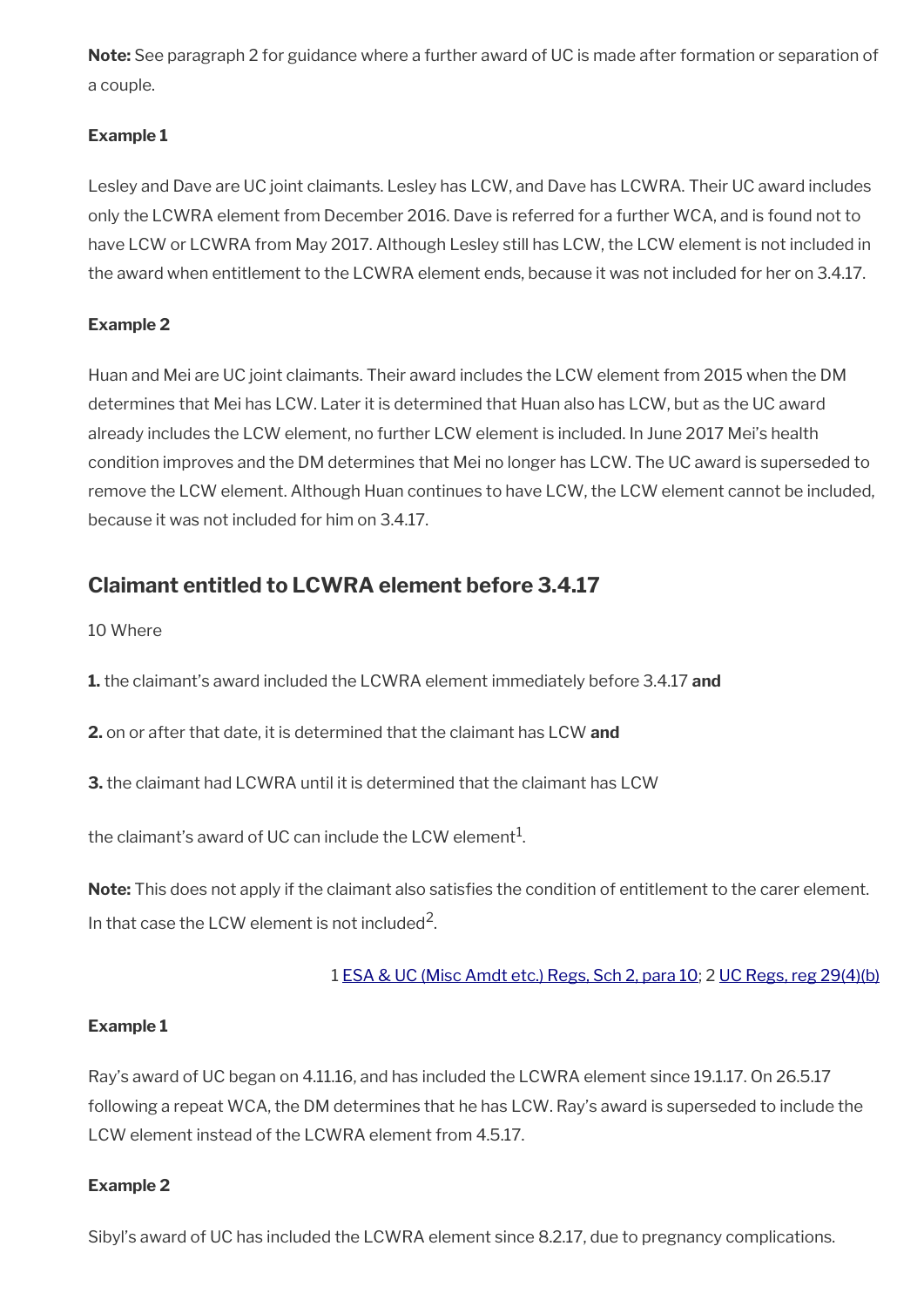**Note:** See paragraph 2 for guidance where a further award of UC is made after formation or separation of a couple.

### **Example 1**

Lesley and Dave are UC joint claimants. Lesley has LCW, and Dave has LCWRA. Their UC award includes only the LCWRA element from December 2016. Dave is referred for a further WCA, and is found not to have LCW or LCWRA from May 2017. Although Lesley still has LCW, the LCW element is not included in the award when entitlement to the LCWRA element ends, because it was not included for her on 3.4.17.

### **Example 2**

Huan and Mei are UC joint claimants. Their award includes the LCW element from 2015 when the DM determines that Mei has LCW. Later it is determined that Huan also has LCW, but as the UC award already includes the LCW element, no further LCW element is included. In June 2017 Mei's health condition improves and the DM determines that Mei no longer has LCW. The UC award is superseded to remove the LCW element. Although Huan continues to have LCW, the LCW element cannot be included, because it was not included for him on 3.4.17.

# <span id="page-15-0"></span>**Claimant entitled to LCWRA element before 3.4.17**

10 Where

**1.** the claimant's award included the LCWRA element immediately before 3.4.17 **and**

**2.** on or after that date, it is determined that the claimant has LCW **and**

**3.** the claimant had LCWRA until it is determined that the claimant has LCW

the claimant's award of UC can include the LCW element $^{\mathrm{1}}$ .

Note: This does not apply if the claimant also satisfies the condition of entitlement to the carer element. In that case the LCW element is not included<sup>2</sup>.

1 [ESA & UC \(Misc Amdt etc.\) Regs, Sch 2, para 10](https://www.legislation.gov.uk/uksi/2017/204/schedule/2); 2 [UC Regs, reg 29\(4\)\(b\)](https://www.legislation.gov.uk/uksi/2013/376/regulation/29)

### **Example 1**

Ray's award of UC began on 4.11.16, and has included the LCWRA element since 19.1.17. On 26.5.17 following a repeat WCA, the DM determines that he has LCW. Ray's award is superseded to include the LCW element instead of the LCWRA element from 4.5.17.

### **Example 2**

Sibyl's award of UC has included the LCWRA element since 8.2.17, due to pregnancy complications.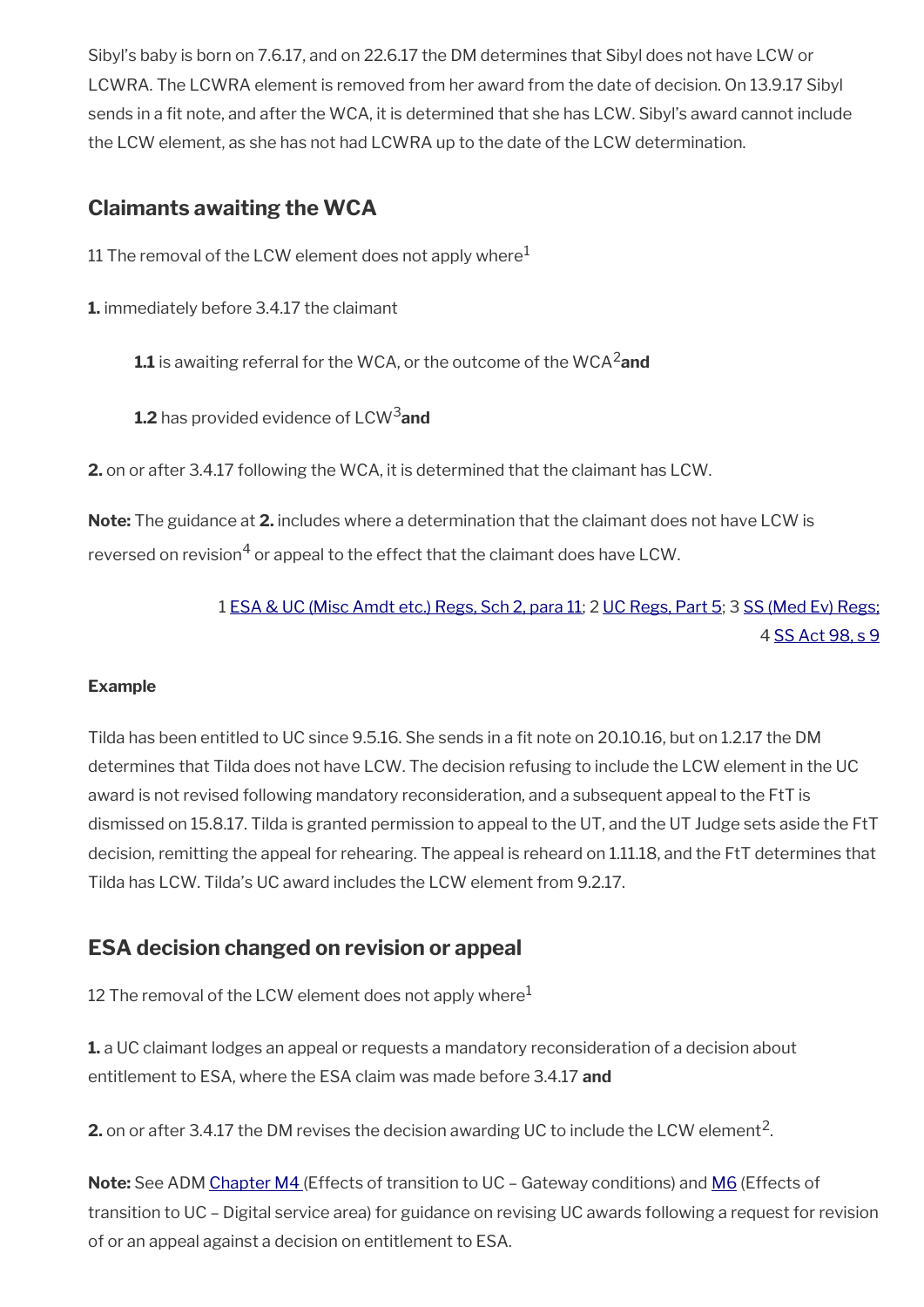Sibyl's baby is born on 7.6.17, and on 22.6.17 the DM determines that Sibyl does not have LCW or LCWRA. The LCWRA element is removed from her award from the date of decision. On 13.9.17 Sibyl sends in a fit note, and after the WCA, it is determined that she has LCW. Sibyl's award cannot include the LCW element, as she has not had LCWRA up to the date of the LCW determination.

# <span id="page-16-1"></span>**Claimants awaiting the WCA**

11 The removal of the LCW element does not apply where<sup>1</sup>

**1.** immediately before 3.4.17 the claimant

**1.1** is awaiting referral for the WCA, or the outcome of the WCA2**and**

**1.2** has provided evidence of LCW3**and**

**2.** on or after 3.4.17 following the WCA, it is determined that the claimant has LCW.

**Note:** The guidance at **2.** includes where a determination that the claimant does not have LCW is reversed on revision $^4$  or appeal to the effect that the claimant does have LCW.

> 1 [ESA & UC \(Misc Amdt etc.\) Regs, Sch 2, para 11](https://www.legislation.gov.uk/uksi/2017/204/schedule/2); 2 [UC Regs, Part 5](https://www.legislation.gov.uk/uksi/2013/376/part/5); 3 [SS \(Med Ev\) Regs;](https://www.legislation.gov.uk/uksi/1987/409/contents/made) 4 [SS Act 98, s 9](https://www.legislation.gov.uk/ukpga/1998/14/section/9)

## **Example**

Tilda has been entitled to UC since 9.5.16. She sends in a fit note on 20.10.16, but on 1.2.17 the DM determines that Tilda does not have LCW. The decision refusing to include the LCW element in the UC award is not revised following mandatory reconsideration, and a subsequent appeal to the FtT is dismissed on 15.8.17. Tilda is granted permission to appeal to the UT, and the UT Judge sets aside the FtT decision, remitting the appeal for rehearing. The appeal is reheard on 1.11.18, and the FtT determines that Tilda has LCW. Tilda's UC award includes the LCW element from 9.2.17.

# <span id="page-16-0"></span>**ESA decision changed on revision or appeal**

12 The removal of the LCW element does not apply where $<sup>1</sup>$ </sup>

**1.** a UC claimant lodges an appeal or requests a mandatory reconsideration of a decision about entitlement to ESA, where the ESA claim was made before 3.4.17 **and**

**2.** on or after 3.4.17 the DM revises the decision awarding UC to include the LCW element<sup>2</sup>.

**Note:** See ADM [Chapter M4](http://intranet.dwp.gov.uk/manual/advice-decision-making-adm/adm-chapter-m4-effects-transition-uc-%E2%80%93-gateway-conditions) (Effects of transition to UC – Gateway conditions) and [M6](http://intranet.dwp.gov.uk/manual/advice-decision-making-adm/adm-chapter-m6-claims-uc-%E2%80%93-digital-service-area) (Effects of transition to UC – Digital service area) for guidance on revising UC awards following a request for revision of or an appeal against a decision on entitlement to ESA.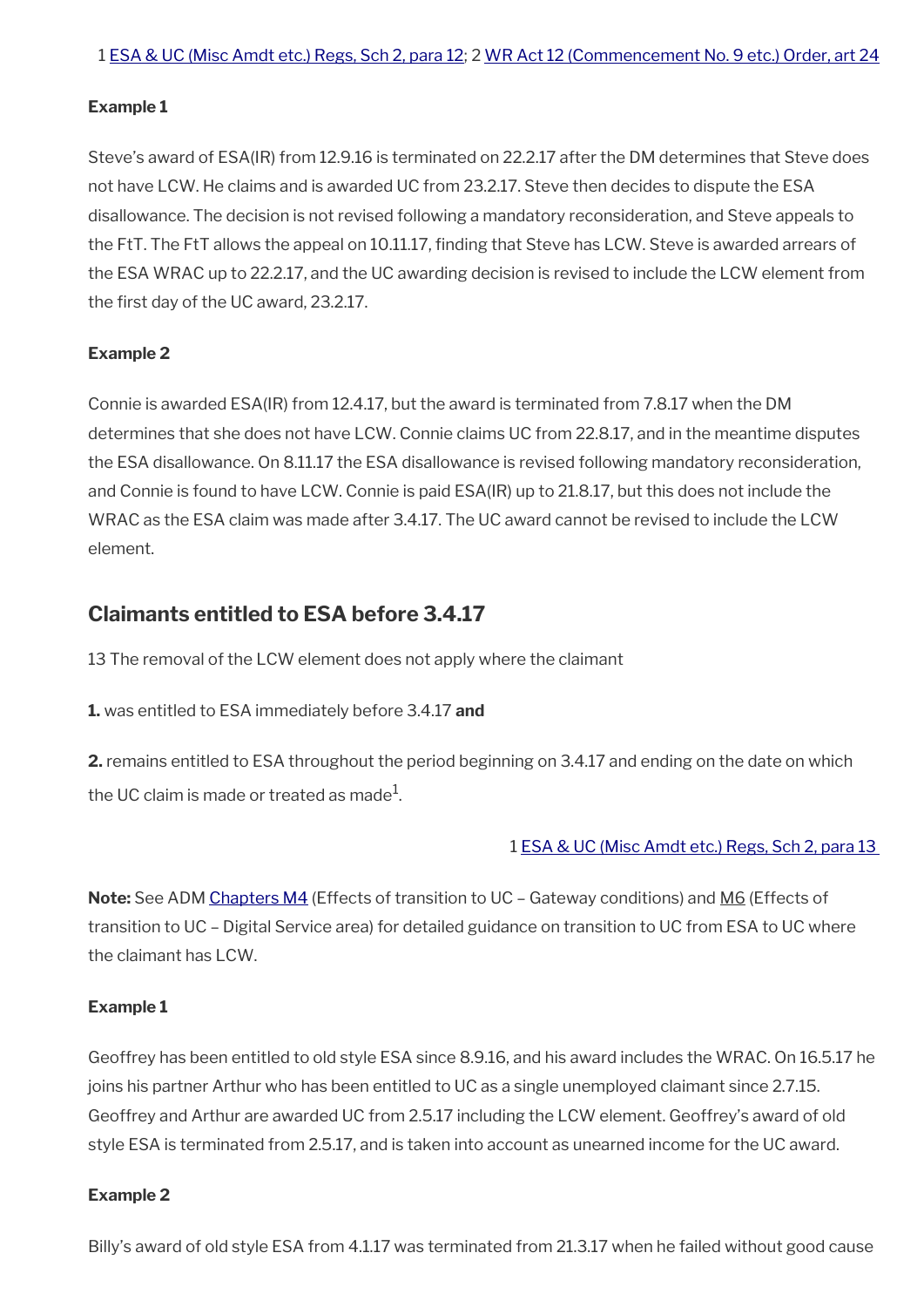#### **Example 1**

Steve's award of ESA(IR) from 12.9.16 is terminated on 22.2.17 after the DM determines that Steve does not have LCW. He claims and is awarded UC from 23.2.17. Steve then decides to dispute the ESA disallowance. The decision is not revised following a mandatory reconsideration, and Steve appeals to the FtT. The FtT allows the appeal on 10.11.17, fnding that Steve has LCW. Steve is awarded arrears of the ESA WRAC up to 22.2.17, and the UC awarding decision is revised to include the LCW element from the first day of the UC award, 23.2.17.

#### **Example 2**

Connie is awarded ESA(IR) from 12.4.17, but the award is terminated from 7.8.17 when the DM determines that she does not have LCW. Connie claims UC from 22.8.17, and in the meantime disputes the ESA disallowance. On 8.11.17 the ESA disallowance is revised following mandatory reconsideration, and Connie is found to have LCW. Connie is paid ESA(IR) up to 21.8.17, but this does not include the WRAC as the ESA claim was made after 3.4.17. The UC award cannot be revised to include the LCW element.

# <span id="page-17-0"></span>**Claimants entitled to ESA before 3.4.17**

13 The removal of the LCW element does not apply where the claimant

**1.** was entitled to ESA immediately before 3.4.17 **and**

**2.** remains entitled to ESA throughout the period beginning on 3.4.17 and ending on the date on which the UC claim is made or treated as made $^1\!$ 

#### 1 [ESA & UC \(Misc Amdt etc.\) Regs, Sch 2, para 13](https://www.legislation.gov.uk/uksi/2017/204/schedule/2)

**Note:** See ADM [Chapters M4](http://intranet.dwp.gov.uk/manual/advice-decision-making-adm/adm-chapter-m4-effects-transition-uc-%E2%80%93-gateway-conditions) (Effects of transition to UC – Gateway conditions) and M6 (Effects of transition to UC – Digital Service area) for detailed guidance on transition to UC from ESA to UC where the claimant has LCW.

#### **Example 1**

Geoffrey has been entitled to old style ESA since 8.9.16, and his award includes the WRAC. On 16.5.17 he joins his partner Arthur who has been entitled to UC as a single unemployed claimant since 2.7.15. Geoffrey and Arthur are awarded UC from 2.5.17 including the LCW element. Geoffrey's award of old style ESA is terminated from 2.5.17, and is taken into account as unearned income for the UC award.

#### **Example 2**

Billy's award of old style ESA from 4.1.17 was terminated from 21.3.17 when he failed without good cause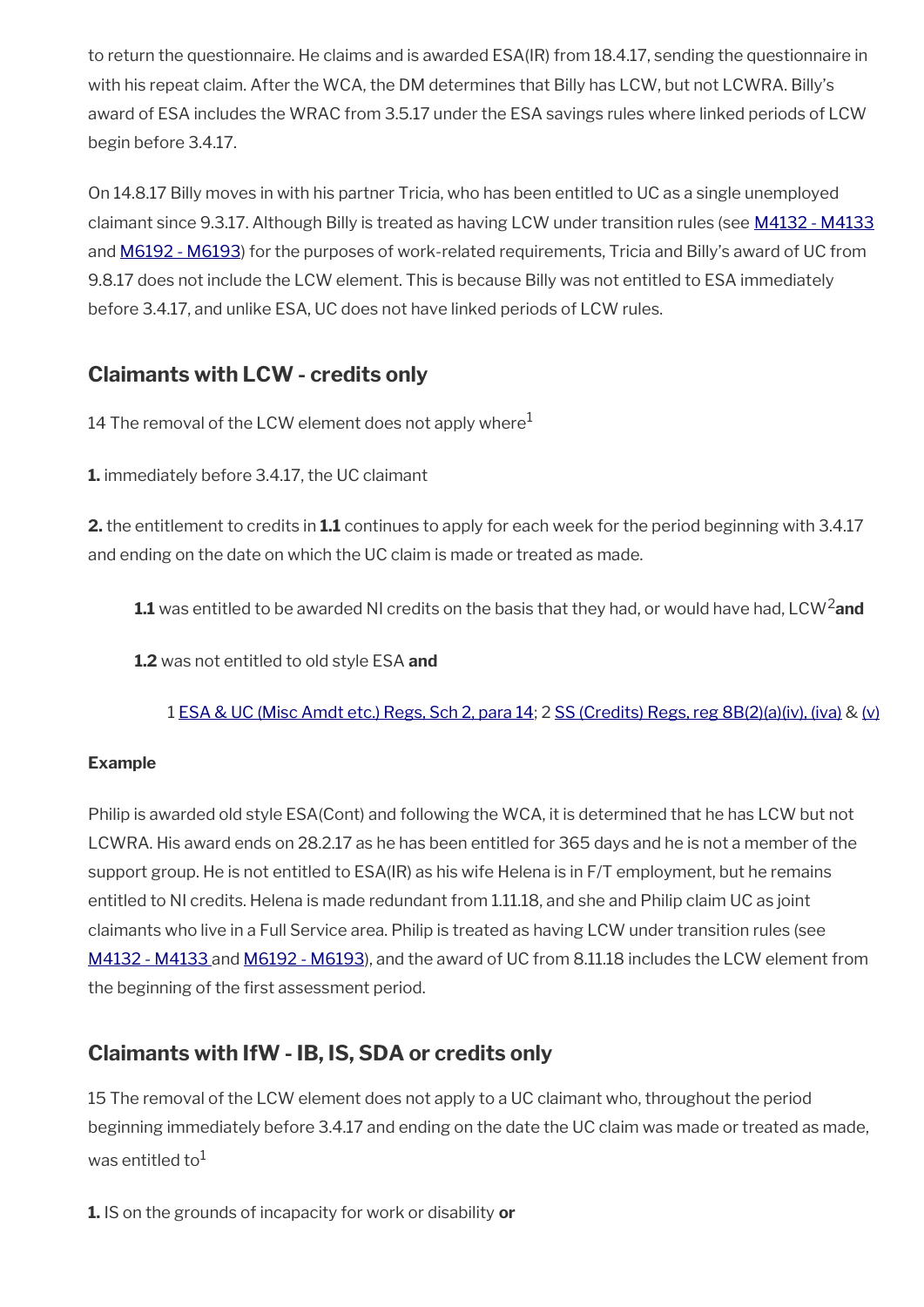to return the questionnaire. He claims and is awarded ESA(IR) from 18.4.17, sending the questionnaire in with his repeat claim. After the WCA, the DM determines that Billy has LCW, but not LCWRA. Billy's award of ESA includes the WRAC from 3.5.17 under the ESA savings rules where linked periods of LCW begin before 3.4.17.

On 14.8.17 Billy moves in with his partner Tricia, who has been entitled to UC as a single unemployed claimant since 9.3.17. Although Billy is treated as having LCW under transition rules (see [M4132 - M4133](http://intranet.dwp.gov.uk/manual/advice-decision-making-adm/transition-old-style-esa-m4130-m4138) and [M6192 - M6193](http://intranet.dwp.gov.uk/manual/advice-decision-making-adm/transition-old-style-esa-m6190-m6209)) for the purposes of work-related requirements, Tricia and Billy's award of UC from 9.8.17 does not include the LCW element. This is because Billy was not entitled to ESA immediately before 3.4.17, and unlike ESA, UC does not have linked periods of LCW rules.

# <span id="page-18-1"></span>**Claimants with LCW - credits only**

14 The removal of the LCW element does not apply where $<sup>1</sup>$ </sup>

**1.** immediately before 3.4.17, the UC claimant

**2.** the entitlement to credits in **1.1** continues to apply for each week for the period beginning with 3.4.17 and ending on the date on which the UC claim is made or treated as made.

- **1.1** was entitled to be awarded NI credits on the basis that they had, or would have had, LCW2**and**
- **1.2** was not entitled to old style ESA **and**

1 [ESA & UC \(Misc Amdt etc.\) Regs, Sch 2, para 14](https://www.legislation.gov.uk/uksi/2017/204/schedule/2); 2 [SS \(Credits\) Regs, reg 8B\(2\)\(a\)\(iv\), \(iva\)](https://www.legislation.gov.uk/uksi/1975/556/regulation/8B) & [\(v\)](https://www.legislation.gov.uk/uksi/1975/556/regulation/8B)

## **Example**

Philip is awarded old style ESA(Cont) and following the WCA, it is determined that he has LCW but not LCWRA. His award ends on 28.2.17 as he has been entitled for 365 days and he is not a member of the support group. He is not entitled to ESA(IR) as his wife Helena is in F/T employment, but he remains entitled to NI credits. Helena is made redundant from 1.11.18, and she and Philip claim UC as joint claimants who live in a Full Service area. Philip is treated as having LCW under transition rules (see  [M4132 - M4133](http://intranet.dwp.gov.uk/manual/advice-decision-making-adm/transition-old-style-esa-m4130-m4138) and [M6192 - M6193](http://intranet.dwp.gov.uk/manual/advice-decision-making-adm/transition-old-style-esa-m6190-m6209)), and the award of UC from 8.11.18 includes the LCW element from the beginning of the first assessment period.

# <span id="page-18-0"></span>**Claimants with IfW - IB, IS, SDA or credits only**

15 The removal of the LCW element does not apply to a UC claimant who, throughout the period beginning immediately before 3.4.17 and ending on the date the UC claim was made or treated as made, was entitled to $1$ 

**1.** IS on the grounds of incapacity for work or disability **or**